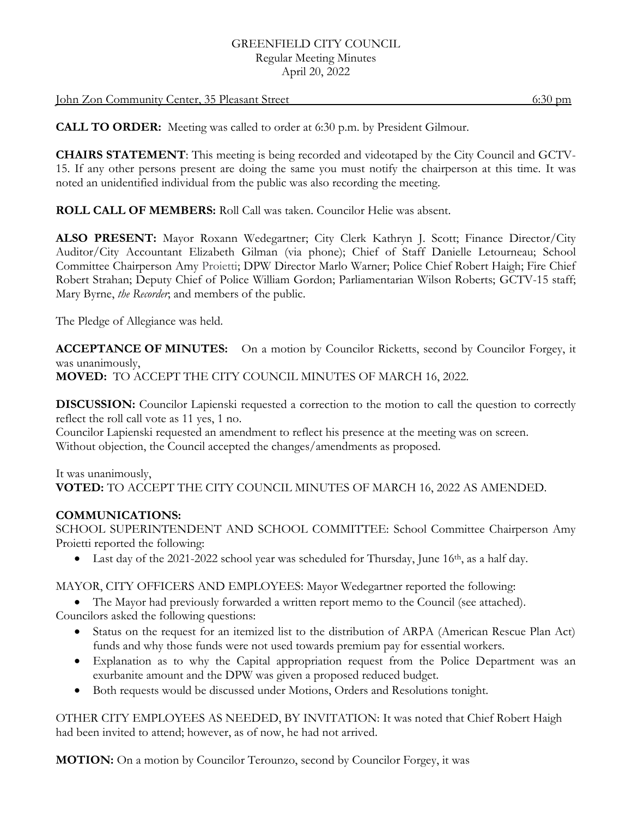## GREENFIELD CITY COUNCIL Regular Meeting Minutes April 20, 2022

#### John Zon Community Center, 35 Pleasant Street 6:30 pm

**CALL TO ORDER:** Meeting was called to order at 6:30 p.m. by President Gilmour.

**CHAIRS STATEMENT**: This meeting is being recorded and videotaped by the City Council and GCTV-15. If any other persons present are doing the same you must notify the chairperson at this time. It was noted an unidentified individual from the public was also recording the meeting.

**ROLL CALL OF MEMBERS:** Roll Call was taken. Councilor Helie was absent.

**ALSO PRESENT:** Mayor Roxann Wedegartner; City Clerk Kathryn J. Scott; Finance Director/City Auditor/City Accountant Elizabeth Gilman (via phone); Chief of Staff Danielle Letourneau; School Committee Chairperson Amy Proietti; DPW Director Marlo Warner; Police Chief Robert Haigh; Fire Chief Robert Strahan; Deputy Chief of Police William Gordon; Parliamentarian Wilson Roberts; GCTV-15 staff; Mary Byrne, *the Recorder*; and members of the public.

The Pledge of Allegiance was held.

**ACCEPTANCE OF MINUTES:** On a motion by Councilor Ricketts, second by Councilor Forgey, it was unanimously, **MOVED:** TO ACCEPT THE CITY COUNCIL MINUTES OF MARCH 16, 2022.

**DISCUSSION:** Councilor Lapienski requested a correction to the motion to call the question to correctly reflect the roll call vote as 11 yes, 1 no.

Councilor Lapienski requested an amendment to reflect his presence at the meeting was on screen. Without objection, the Council accepted the changes/amendments as proposed.

## It was unanimously, **VOTED:** TO ACCEPT THE CITY COUNCIL MINUTES OF MARCH 16, 2022 AS AMENDED.

# **COMMUNICATIONS:**

SCHOOL SUPERINTENDENT AND SCHOOL COMMITTEE: School Committee Chairperson Amy Proietti reported the following:

• Last day of the 2021-2022 school year was scheduled for Thursday, June 16<sup>th</sup>, as a half day.

MAYOR, CITY OFFICERS AND EMPLOYEES: Mayor Wedegartner reported the following:

 The Mayor had previously forwarded a written report memo to the Council (see attached). Councilors asked the following questions:

- Status on the request for an itemized list to the distribution of ARPA (American Rescue Plan Act) funds and why those funds were not used towards premium pay for essential workers.
- Explanation as to why the Capital appropriation request from the Police Department was an exurbanite amount and the DPW was given a proposed reduced budget.
- Both requests would be discussed under Motions, Orders and Resolutions tonight.

OTHER CITY EMPLOYEES AS NEEDED, BY INVITATION: It was noted that Chief Robert Haigh had been invited to attend; however, as of now, he had not arrived.

**MOTION:** On a motion by Councilor Terounzo, second by Councilor Forgey, it was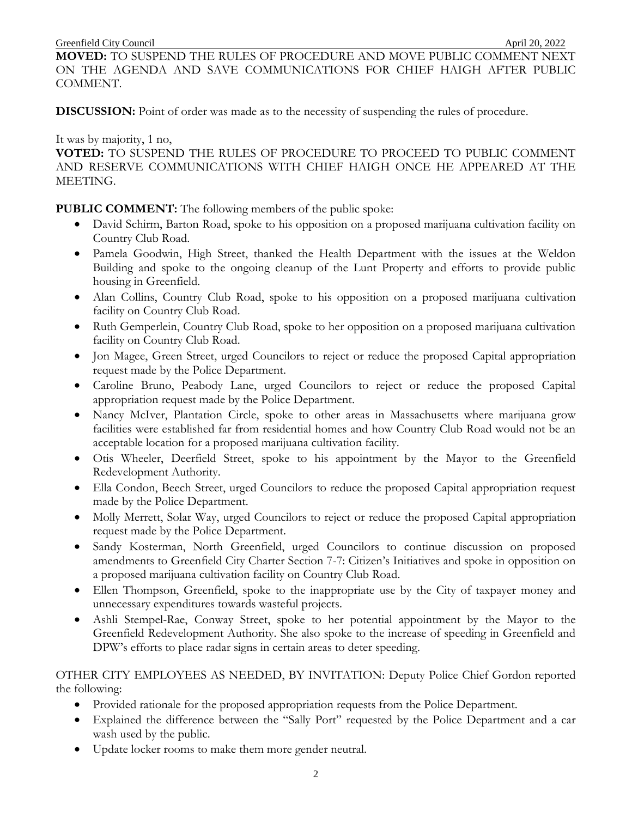**MOVED:** TO SUSPEND THE RULES OF PROCEDURE AND MOVE PUBLIC COMMENT NEXT ON THE AGENDA AND SAVE COMMUNICATIONS FOR CHIEF HAIGH AFTER PUBLIC COMMENT.

**DISCUSSION:** Point of order was made as to the necessity of suspending the rules of procedure.

It was by majority, 1 no,

**VOTED:** TO SUSPEND THE RULES OF PROCEDURE TO PROCEED TO PUBLIC COMMENT AND RESERVE COMMUNICATIONS WITH CHIEF HAIGH ONCE HE APPEARED AT THE MEETING.

## **PUBLIC COMMENT:** The following members of the public spoke:

- David Schirm, Barton Road, spoke to his opposition on a proposed marijuana cultivation facility on Country Club Road.
- Pamela Goodwin, High Street, thanked the Health Department with the issues at the Weldon Building and spoke to the ongoing cleanup of the Lunt Property and efforts to provide public housing in Greenfield.
- Alan Collins, Country Club Road, spoke to his opposition on a proposed marijuana cultivation facility on Country Club Road.
- Ruth Gemperlein, Country Club Road, spoke to her opposition on a proposed marijuana cultivation facility on Country Club Road.
- Jon Magee, Green Street, urged Councilors to reject or reduce the proposed Capital appropriation request made by the Police Department.
- Caroline Bruno, Peabody Lane, urged Councilors to reject or reduce the proposed Capital appropriation request made by the Police Department.
- Nancy McIver, Plantation Circle, spoke to other areas in Massachusetts where marijuana grow facilities were established far from residential homes and how Country Club Road would not be an acceptable location for a proposed marijuana cultivation facility.
- Otis Wheeler, Deerfield Street, spoke to his appointment by the Mayor to the Greenfield Redevelopment Authority.
- Ella Condon, Beech Street, urged Councilors to reduce the proposed Capital appropriation request made by the Police Department.
- Molly Merrett, Solar Way, urged Councilors to reject or reduce the proposed Capital appropriation request made by the Police Department.
- Sandy Kosterman, North Greenfield, urged Councilors to continue discussion on proposed amendments to Greenfield City Charter Section 7-7: Citizen's Initiatives and spoke in opposition on a proposed marijuana cultivation facility on Country Club Road.
- Ellen Thompson, Greenfield, spoke to the inappropriate use by the City of taxpayer money and unnecessary expenditures towards wasteful projects.
- Ashli Stempel-Rae, Conway Street, spoke to her potential appointment by the Mayor to the Greenfield Redevelopment Authority. She also spoke to the increase of speeding in Greenfield and DPW's efforts to place radar signs in certain areas to deter speeding.

OTHER CITY EMPLOYEES AS NEEDED, BY INVITATION: Deputy Police Chief Gordon reported the following:

- Provided rationale for the proposed appropriation requests from the Police Department.
- Explained the difference between the "Sally Port" requested by the Police Department and a car wash used by the public.
- Update locker rooms to make them more gender neutral.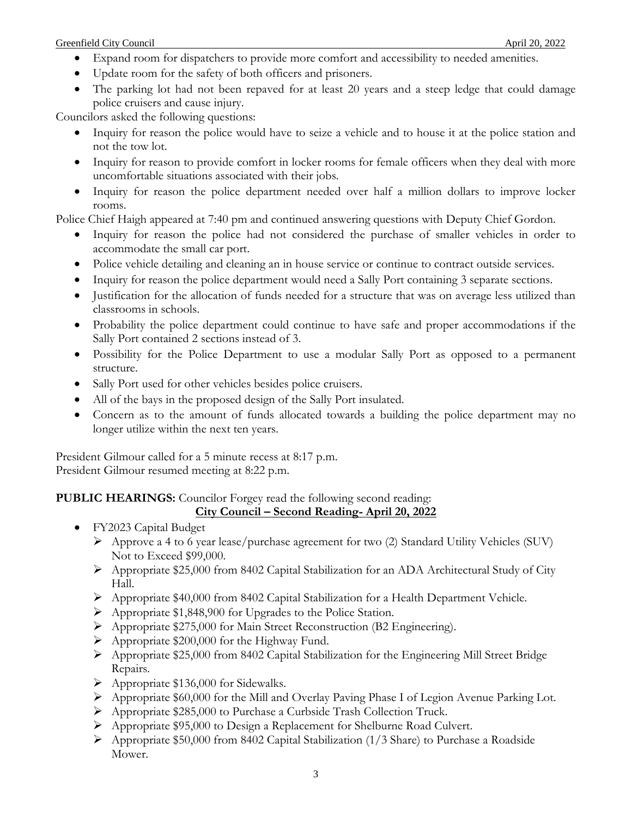- Expand room for dispatchers to provide more comfort and accessibility to needed amenities.
- Update room for the safety of both officers and prisoners.
- The parking lot had not been repaved for at least 20 years and a steep ledge that could damage police cruisers and cause injury.

Councilors asked the following questions:

- Inquiry for reason the police would have to seize a vehicle and to house it at the police station and not the tow lot.
- Inquiry for reason to provide comfort in locker rooms for female officers when they deal with more uncomfortable situations associated with their jobs.
- Inquiry for reason the police department needed over half a million dollars to improve locker rooms.

Police Chief Haigh appeared at 7:40 pm and continued answering questions with Deputy Chief Gordon.

- Inquiry for reason the police had not considered the purchase of smaller vehicles in order to accommodate the small car port.
- Police vehicle detailing and cleaning an in house service or continue to contract outside services.
- Inquiry for reason the police department would need a Sally Port containing 3 separate sections.
- Justification for the allocation of funds needed for a structure that was on average less utilized than classrooms in schools.
- Probability the police department could continue to have safe and proper accommodations if the Sally Port contained 2 sections instead of 3.
- Possibility for the Police Department to use a modular Sally Port as opposed to a permanent structure.
- Sally Port used for other vehicles besides police cruisers.
- All of the bays in the proposed design of the Sally Port insulated.
- Concern as to the amount of funds allocated towards a building the police department may no longer utilize within the next ten years.

President Gilmour called for a 5 minute recess at 8:17 p.m. President Gilmour resumed meeting at 8:22 p.m.

# **PUBLIC HEARINGS:** Councilor Forgey read the following second reading:

```
City Council – Second Reading- April 20, 2022
```
- FY2023 Capital Budget
	- Approve a 4 to 6 year lease/purchase agreement for two (2) Standard Utility Vehicles (SUV) Not to Exceed \$99,000.
	- Appropriate \$25,000 from 8402 Capital Stabilization for an ADA Architectural Study of City Hall.
	- $\triangleright$  Appropriate \$40,000 from 8402 Capital Stabilization for a Health Department Vehicle.
	- Appropriate \$1,848,900 for Upgrades to the Police Station.
	- Appropriate \$275,000 for Main Street Reconstruction (B2 Engineering).
	- $\triangleright$  Appropriate \$200,000 for the Highway Fund.
	- Appropriate \$25,000 from 8402 Capital Stabilization for the Engineering Mill Street Bridge Repairs.
	- $\triangleright$  Appropriate \$136,000 for Sidewalks.
	- Appropriate \$60,000 for the Mill and Overlay Paving Phase I of Legion Avenue Parking Lot.
	- Appropriate \$285,000 to Purchase a Curbside Trash Collection Truck.
	- Appropriate \$95,000 to Design a Replacement for Shelburne Road Culvert.
	- $\triangleright$  Appropriate \$50,000 from 8402 Capital Stabilization (1/3 Share) to Purchase a Roadside Mower.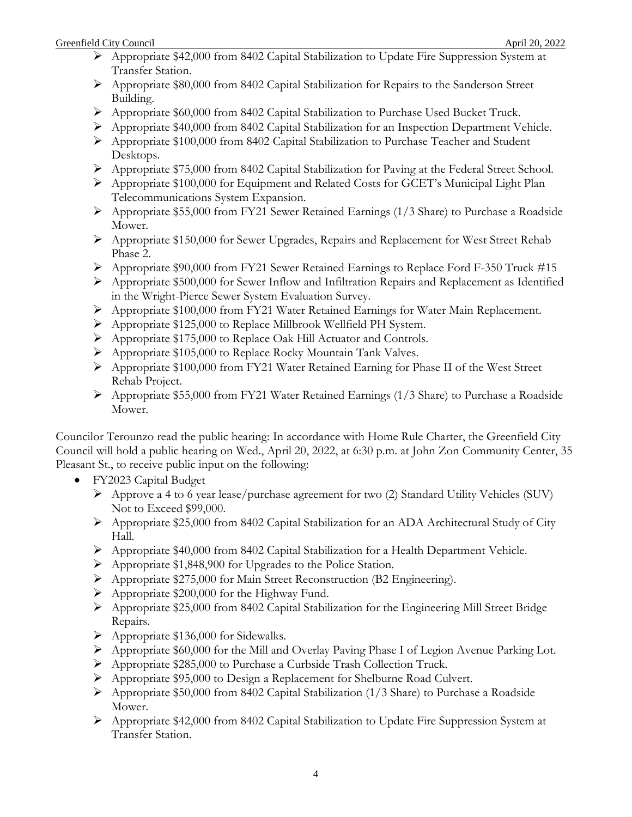- Appropriate \$42,000 from 8402 Capital Stabilization to Update Fire Suppression System at Transfer Station.
- Appropriate \$80,000 from 8402 Capital Stabilization for Repairs to the Sanderson Street Building.
- Appropriate \$60,000 from 8402 Capital Stabilization to Purchase Used Bucket Truck.
- Appropriate \$40,000 from 8402 Capital Stabilization for an Inspection Department Vehicle.
- Appropriate \$100,000 from 8402 Capital Stabilization to Purchase Teacher and Student Desktops.
- Appropriate \$75,000 from 8402 Capital Stabilization for Paving at the Federal Street School.
- Appropriate \$100,000 for Equipment and Related Costs for GCET's Municipal Light Plan Telecommunications System Expansion.
- Appropriate \$55,000 from FY21 Sewer Retained Earnings (1/3 Share) to Purchase a Roadside Mower.
- Appropriate \$150,000 for Sewer Upgrades, Repairs and Replacement for West Street Rehab Phase 2.
- Appropriate \$90,000 from FY21 Sewer Retained Earnings to Replace Ford F-350 Truck #15
- $\triangleright$  Appropriate \$500,000 for Sewer Inflow and Infiltration Repairs and Replacement as Identified in the Wright-Pierce Sewer System Evaluation Survey.
- Appropriate \$100,000 from FY21 Water Retained Earnings for Water Main Replacement.
- Appropriate \$125,000 to Replace Millbrook Wellfield PH System.
- Appropriate \$175,000 to Replace Oak Hill Actuator and Controls.
- Appropriate \$105,000 to Replace Rocky Mountain Tank Valves.
- Appropriate \$100,000 from FY21 Water Retained Earning for Phase II of the West Street Rehab Project.
- $\triangleright$  Appropriate \$55,000 from FY21 Water Retained Earnings (1/3 Share) to Purchase a Roadside Mower.

Councilor Terounzo read the public hearing: In accordance with Home Rule Charter, the Greenfield City Council will hold a public hearing on Wed., April 20, 2022, at 6:30 p.m. at John Zon Community Center, 35 Pleasant St., to receive public input on the following:

- FY2023 Capital Budget
	- Approve a 4 to 6 year lease/purchase agreement for two (2) Standard Utility Vehicles (SUV) Not to Exceed \$99,000.
	- Appropriate \$25,000 from 8402 Capital Stabilization for an ADA Architectural Study of City Hall.
	- $\triangleright$  Appropriate \$40,000 from 8402 Capital Stabilization for a Health Department Vehicle.
	- Appropriate \$1,848,900 for Upgrades to the Police Station.
	- Appropriate \$275,000 for Main Street Reconstruction (B2 Engineering).
	- $\triangleright$  Appropriate \$200,000 for the Highway Fund.
	- Appropriate \$25,000 from 8402 Capital Stabilization for the Engineering Mill Street Bridge Repairs.
	- $\triangleright$  Appropriate \$136,000 for Sidewalks.
	- Appropriate \$60,000 for the Mill and Overlay Paving Phase I of Legion Avenue Parking Lot.
	- Appropriate \$285,000 to Purchase a Curbside Trash Collection Truck.
	- Appropriate \$95,000 to Design a Replacement for Shelburne Road Culvert.
	- $\triangleright$  Appropriate \$50,000 from 8402 Capital Stabilization (1/3 Share) to Purchase a Roadside Mower.
	- Appropriate \$42,000 from 8402 Capital Stabilization to Update Fire Suppression System at Transfer Station.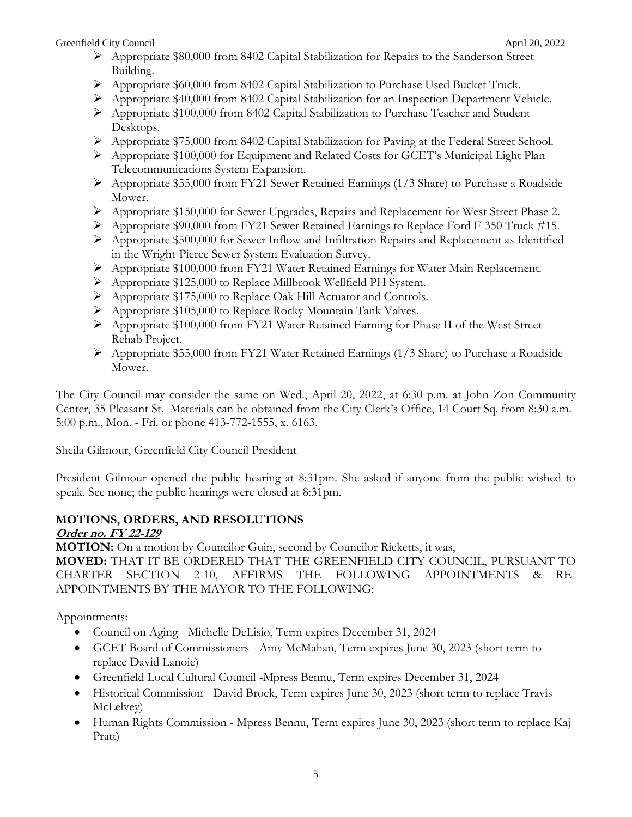- Appropriate \$80,000 from 8402 Capital Stabilization for Repairs to the Sanderson Street Building.
- Appropriate \$60,000 from 8402 Capital Stabilization to Purchase Used Bucket Truck.
- Appropriate \$40,000 from 8402 Capital Stabilization for an Inspection Department Vehicle.
- Appropriate \$100,000 from 8402 Capital Stabilization to Purchase Teacher and Student Desktops.
- Appropriate \$75,000 from 8402 Capital Stabilization for Paving at the Federal Street School.
- $\triangleright$  Appropriate \$100,000 for Equipment and Related Costs for GCET's Municipal Light Plan Telecommunications System Expansion.
- Appropriate \$55,000 from FY21 Sewer Retained Earnings (1/3 Share) to Purchase a Roadside Mower.
- Appropriate \$150,000 for Sewer Upgrades, Repairs and Replacement for West Street Phase 2.
- Appropriate \$90,000 from FY21 Sewer Retained Earnings to Replace Ford F-350 Truck #15.
- $\triangleright$  Appropriate \$500,000 for Sewer Inflow and Infiltration Repairs and Replacement as Identified in the Wright-Pierce Sewer System Evaluation Survey.
- Appropriate \$100,000 from FY21 Water Retained Earnings for Water Main Replacement.
- Appropriate \$125,000 to Replace Millbrook Wellfield PH System.
- Appropriate \$175,000 to Replace Oak Hill Actuator and Controls.
- Appropriate \$105,000 to Replace Rocky Mountain Tank Valves.
- Appropriate \$100,000 from FY21 Water Retained Earning for Phase II of the West Street Rehab Project.
- $\triangleright$  Appropriate \$55,000 from FY21 Water Retained Earnings (1/3 Share) to Purchase a Roadside Mower.

The City Council may consider the same on Wed., April 20, 2022, at 6:30 p.m. at John Zon Community Center, 35 Pleasant St. Materials can be obtained from the City Clerk's Office, 14 Court Sq. from 8:30 a.m.- 5:00 p.m., Mon. - Fri. or phone 413-772-1555, x. 6163.

Sheila Gilmour, Greenfield City Council President

President Gilmour opened the public hearing at 8:31pm. She asked if anyone from the public wished to speak. See none; the public hearings were closed at 8:31pm.

### **MOTIONS, ORDERS, AND RESOLUTIONS Order no. FY 22-129**

**MOTION:** On a motion by Councilor Guin, second by Councilor Ricketts, it was,

**MOVED:** THAT IT BE ORDERED THAT THE GREENFIELD CITY COUNCIL, PURSUANT TO CHARTER SECTION 2-10, AFFIRMS THE FOLLOWING APPOINTMENTS & RE-APPOINTMENTS BY THE MAYOR TO THE FOLLOWING:

Appointments:

- Council on Aging Michelle DeLisio, Term expires December 31, 2024
- GCET Board of Commissioners Amy McMahan, Term expires June 30, 2023 (short term to replace David Lanoie)
- Greenfield Local Cultural Council -Mpress Bennu, Term expires December 31, 2024
- Historical Commission David Brock, Term expires June 30, 2023 (short term to replace Travis McLelvey)
- Human Rights Commission Mpress Bennu, Term expires June 30, 2023 (short term to replace Kaj Pratt)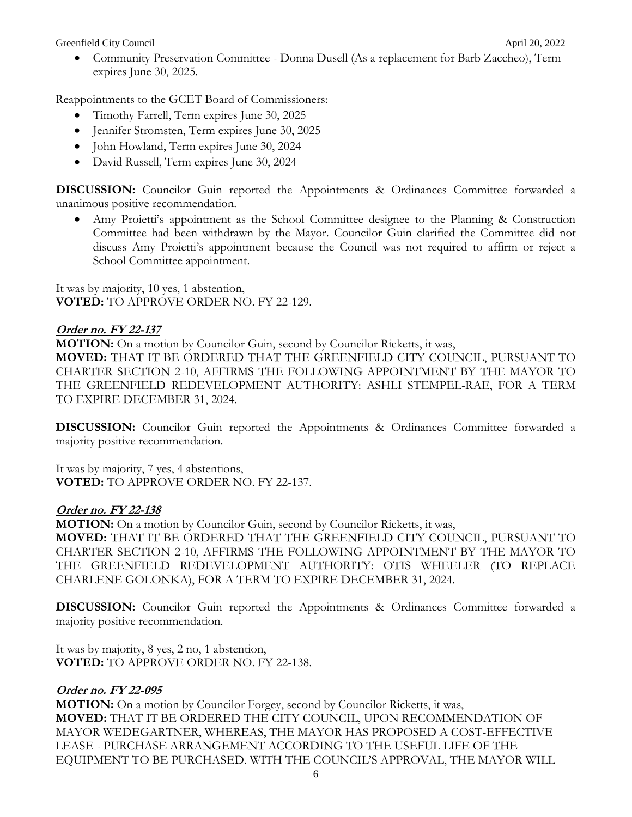Community Preservation Committee - Donna Dusell (As a replacement for Barb Zaccheo), Term expires June 30, 2025.

Reappointments to the GCET Board of Commissioners:

- Timothy Farrell, Term expires June 30, 2025
- Jennifer Stromsten, Term expires June 30, 2025
- John Howland, Term expires June 30, 2024
- David Russell, Term expires June 30, 2024

**DISCUSSION:** Councilor Guin reported the Appointments & Ordinances Committee forwarded a unanimous positive recommendation.

 Amy Proietti's appointment as the School Committee designee to the Planning & Construction Committee had been withdrawn by the Mayor. Councilor Guin clarified the Committee did not discuss Amy Proietti's appointment because the Council was not required to affirm or reject a School Committee appointment.

It was by majority, 10 yes, 1 abstention, **VOTED:** TO APPROVE ORDER NO. FY 22-129.

## **Order no. FY 22-137**

**MOTION:** On a motion by Councilor Guin, second by Councilor Ricketts, it was, **MOVED:** THAT IT BE ORDERED THAT THE GREENFIELD CITY COUNCIL, PURSUANT TO CHARTER SECTION 2-10, AFFIRMS THE FOLLOWING APPOINTMENT BY THE MAYOR TO THE GREENFIELD REDEVELOPMENT AUTHORITY: ASHLI STEMPEL-RAE, FOR A TERM TO EXPIRE DECEMBER 31, 2024.

**DISCUSSION:** Councilor Guin reported the Appointments & Ordinances Committee forwarded a majority positive recommendation.

It was by majority, 7 yes, 4 abstentions, **VOTED:** TO APPROVE ORDER NO. FY 22-137.

## **Order no. FY 22-138**

**MOTION:** On a motion by Councilor Guin, second by Councilor Ricketts, it was, **MOVED:** THAT IT BE ORDERED THAT THE GREENFIELD CITY COUNCIL, PURSUANT TO CHARTER SECTION 2-10, AFFIRMS THE FOLLOWING APPOINTMENT BY THE MAYOR TO THE GREENFIELD REDEVELOPMENT AUTHORITY: OTIS WHEELER (TO REPLACE CHARLENE GOLONKA), FOR A TERM TO EXPIRE DECEMBER 31, 2024.

**DISCUSSION:** Councilor Guin reported the Appointments & Ordinances Committee forwarded a majority positive recommendation.

It was by majority, 8 yes, 2 no, 1 abstention, **VOTED:** TO APPROVE ORDER NO. FY 22-138.

## **Order no. FY 22-095**

**MOTION:** On a motion by Councilor Forgey, second by Councilor Ricketts, it was, **MOVED:** THAT IT BE ORDERED THE CITY COUNCIL, UPON RECOMMENDATION OF MAYOR WEDEGARTNER, WHEREAS, THE MAYOR HAS PROPOSED A COST-EFFECTIVE LEASE - PURCHASE ARRANGEMENT ACCORDING TO THE USEFUL LIFE OF THE EQUIPMENT TO BE PURCHASED. WITH THE COUNCIL'S APPROVAL, THE MAYOR WILL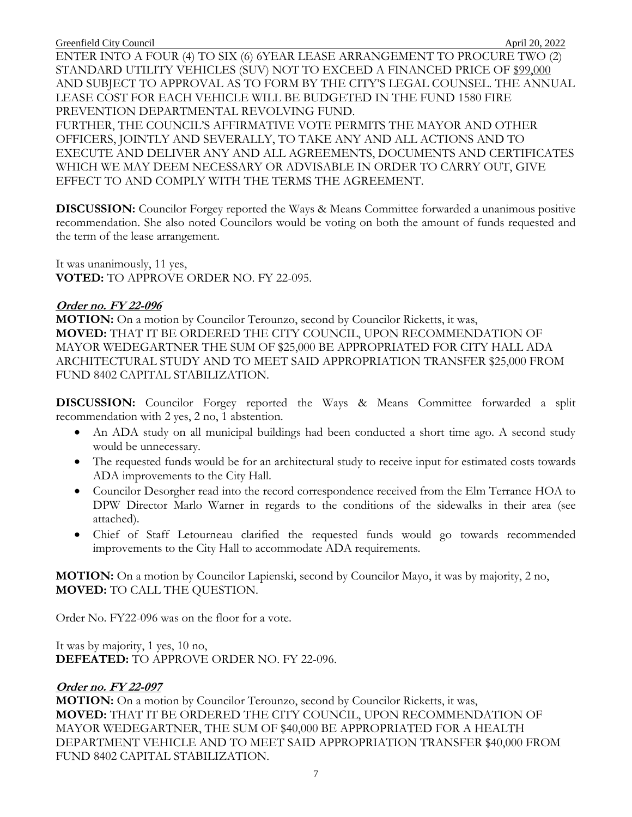ENTER INTO A FOUR (4) TO SIX (6) 6YEAR LEASE ARRANGEMENT TO PROCURE TWO (2) STANDARD UTILITY VEHICLES (SUV) NOT TO EXCEED A FINANCED PRICE OF \$99,000 AND SUBJECT TO APPROVAL AS TO FORM BY THE CITY'S LEGAL COUNSEL. THE ANNUAL LEASE COST FOR EACH VEHICLE WILL BE BUDGETED IN THE FUND 1580 FIRE PREVENTION DEPARTMENTAL REVOLVING FUND.

FURTHER, THE COUNCIL'S AFFIRMATIVE VOTE PERMITS THE MAYOR AND OTHER OFFICERS, JOINTLY AND SEVERALLY, TO TAKE ANY AND ALL ACTIONS AND TO EXECUTE AND DELIVER ANY AND ALL AGREEMENTS, DOCUMENTS AND CERTIFICATES WHICH WE MAY DEEM NECESSARY OR ADVISABLE IN ORDER TO CARRY OUT, GIVE EFFECT TO AND COMPLY WITH THE TERMS THE AGREEMENT.

**DISCUSSION:** Councilor Forgey reported the Ways & Means Committee forwarded a unanimous positive recommendation. She also noted Councilors would be voting on both the amount of funds requested and the term of the lease arrangement.

It was unanimously, 11 yes, **VOTED:** TO APPROVE ORDER NO. FY 22-095.

#### **Order no. FY 22-096**

**MOTION:** On a motion by Councilor Terounzo, second by Councilor Ricketts, it was, **MOVED:** THAT IT BE ORDERED THE CITY COUNCIL, UPON RECOMMENDATION OF MAYOR WEDEGARTNER THE SUM OF \$25,000 BE APPROPRIATED FOR CITY HALL ADA ARCHITECTURAL STUDY AND TO MEET SAID APPROPRIATION TRANSFER \$25,000 FROM FUND 8402 CAPITAL STABILIZATION.

**DISCUSSION:** Councilor Forgey reported the Ways & Means Committee forwarded a split recommendation with 2 yes, 2 no, 1 abstention.

- An ADA study on all municipal buildings had been conducted a short time ago. A second study would be unnecessary.
- The requested funds would be for an architectural study to receive input for estimated costs towards ADA improvements to the City Hall.
- Councilor Desorgher read into the record correspondence received from the Elm Terrance HOA to DPW Director Marlo Warner in regards to the conditions of the sidewalks in their area (see attached).
- Chief of Staff Letourneau clarified the requested funds would go towards recommended improvements to the City Hall to accommodate ADA requirements.

**MOTION:** On a motion by Councilor Lapienski, second by Councilor Mayo, it was by majority, 2 no, **MOVED:** TO CALL THE QUESTION.

Order No. FY22-096 was on the floor for a vote.

It was by majority, 1 yes, 10 no, **DEFEATED:** TO APPROVE ORDER NO. FY 22-096.

## **Order no. FY 22-097**

**MOTION:** On a motion by Councilor Terounzo, second by Councilor Ricketts, it was, **MOVED:** THAT IT BE ORDERED THE CITY COUNCIL, UPON RECOMMENDATION OF MAYOR WEDEGARTNER, THE SUM OF \$40,000 BE APPROPRIATED FOR A HEALTH DEPARTMENT VEHICLE AND TO MEET SAID APPROPRIATION TRANSFER \$40,000 FROM FUND 8402 CAPITAL STABILIZATION.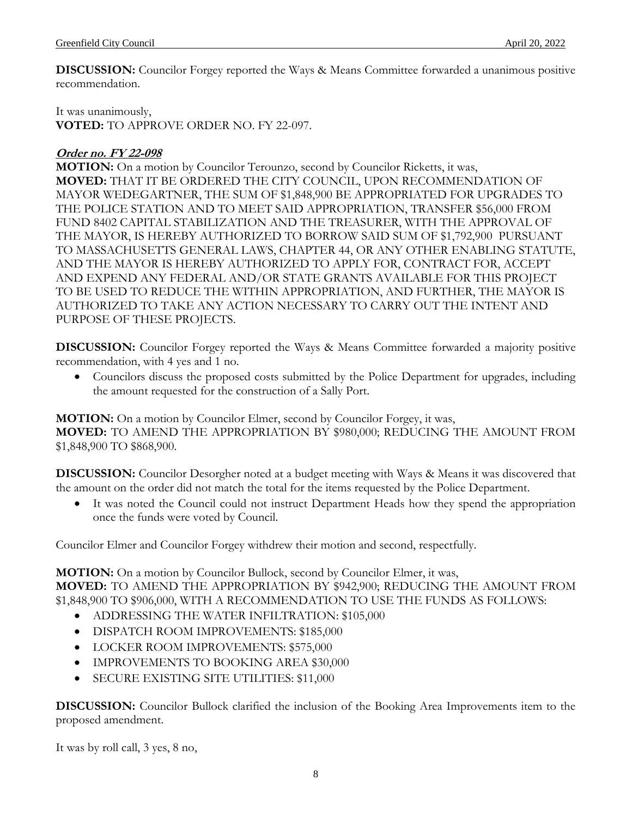**DISCUSSION:** Councilor Forgey reported the Ways & Means Committee forwarded a unanimous positive recommendation.

It was unanimously, **VOTED:** TO APPROVE ORDER NO. FY 22-097.

# **Order no. FY 22-098**

**MOTION:** On a motion by Councilor Terounzo, second by Councilor Ricketts, it was, **MOVED:** THAT IT BE ORDERED THE CITY COUNCIL, UPON RECOMMENDATION OF MAYOR WEDEGARTNER, THE SUM OF \$1,848,900 BE APPROPRIATED FOR UPGRADES TO THE POLICE STATION AND TO MEET SAID APPROPRIATION, TRANSFER \$56,000 FROM FUND 8402 CAPITAL STABILIZATION AND THE TREASURER, WITH THE APPROVAL OF THE MAYOR, IS HEREBY AUTHORIZED TO BORROW SAID SUM OF \$1,792,900 PURSUANT TO MASSACHUSETTS GENERAL LAWS, CHAPTER 44, OR ANY OTHER ENABLING STATUTE, AND THE MAYOR IS HEREBY AUTHORIZED TO APPLY FOR, CONTRACT FOR, ACCEPT AND EXPEND ANY FEDERAL AND/OR STATE GRANTS AVAILABLE FOR THIS PROJECT TO BE USED TO REDUCE THE WITHIN APPROPRIATION, AND FURTHER, THE MAYOR IS AUTHORIZED TO TAKE ANY ACTION NECESSARY TO CARRY OUT THE INTENT AND PURPOSE OF THESE PROJECTS.

**DISCUSSION:** Councilor Forgey reported the Ways & Means Committee forwarded a majority positive recommendation, with 4 yes and 1 no.

 Councilors discuss the proposed costs submitted by the Police Department for upgrades, including the amount requested for the construction of a Sally Port.

**MOTION:** On a motion by Councilor Elmer, second by Councilor Forgey, it was, **MOVED:** TO AMEND THE APPROPRIATION BY \$980,000; REDUCING THE AMOUNT FROM \$1,848,900 TO \$868,900.

**DISCUSSION:** Councilor Desorgher noted at a budget meeting with Ways & Means it was discovered that the amount on the order did not match the total for the items requested by the Police Department.

 It was noted the Council could not instruct Department Heads how they spend the appropriation once the funds were voted by Council.

Councilor Elmer and Councilor Forgey withdrew their motion and second, respectfully.

**MOTION:** On a motion by Councilor Bullock, second by Councilor Elmer, it was, **MOVED:** TO AMEND THE APPROPRIATION BY \$942,900; REDUCING THE AMOUNT FROM \$1,848,900 TO \$906,000, WITH A RECOMMENDATION TO USE THE FUNDS AS FOLLOWS:

- ADDRESSING THE WATER INFILTRATION: \$105,000
- **DISPATCH ROOM IMPROVEMENTS: \$185,000**
- **LOCKER ROOM IMPROVEMENTS: \$575,000**
- IMPROVEMENTS TO BOOKING AREA \$30,000
- SECURE EXISTING SITE UTILITIES: \$11,000

**DISCUSSION:** Councilor Bullock clarified the inclusion of the Booking Area Improvements item to the proposed amendment.

It was by roll call, 3 yes, 8 no,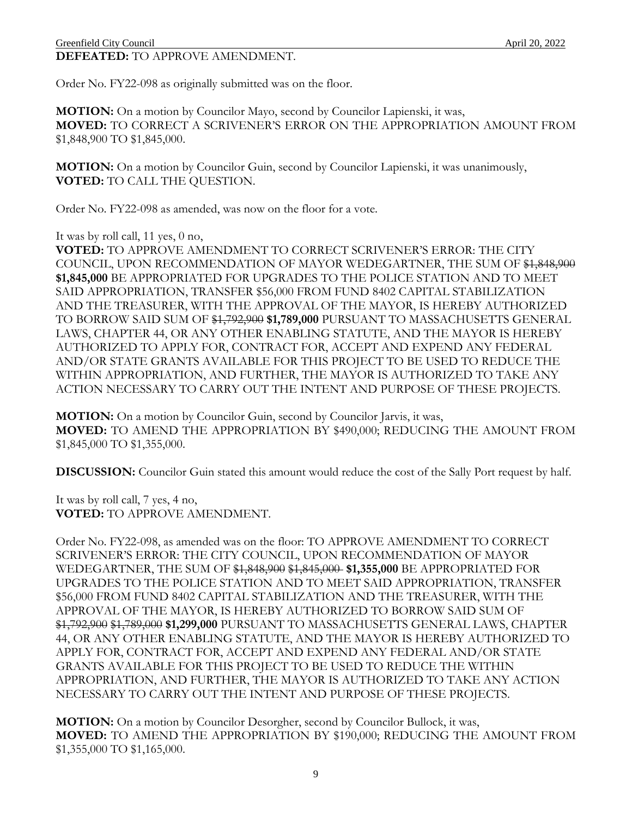Order No. FY22-098 as originally submitted was on the floor.

**MOTION:** On a motion by Councilor Mayo, second by Councilor Lapienski, it was, **MOVED:** TO CORRECT A SCRIVENER'S ERROR ON THE APPROPRIATION AMOUNT FROM \$1,848,900 TO \$1,845,000.

**MOTION:** On a motion by Councilor Guin, second by Councilor Lapienski, it was unanimously, **VOTED:** TO CALL THE QUESTION.

Order No. FY22-098 as amended, was now on the floor for a vote.

It was by roll call, 11 yes, 0 no,

**VOTED:** TO APPROVE AMENDMENT TO CORRECT SCRIVENER'S ERROR: THE CITY COUNCIL, UPON RECOMMENDATION OF MAYOR WEDEGARTNER, THE SUM OF \$1,848,900 **\$1,845,000** BE APPROPRIATED FOR UPGRADES TO THE POLICE STATION AND TO MEET SAID APPROPRIATION, TRANSFER \$56,000 FROM FUND 8402 CAPITAL STABILIZATION AND THE TREASURER, WITH THE APPROVAL OF THE MAYOR, IS HEREBY AUTHORIZED TO BORROW SAID SUM OF \$1,792,900 **\$1,789,000** PURSUANT TO MASSACHUSETTS GENERAL LAWS, CHAPTER 44, OR ANY OTHER ENABLING STATUTE, AND THE MAYOR IS HEREBY AUTHORIZED TO APPLY FOR, CONTRACT FOR, ACCEPT AND EXPEND ANY FEDERAL AND/OR STATE GRANTS AVAILABLE FOR THIS PROJECT TO BE USED TO REDUCE THE WITHIN APPROPRIATION, AND FURTHER, THE MAYOR IS AUTHORIZED TO TAKE ANY ACTION NECESSARY TO CARRY OUT THE INTENT AND PURPOSE OF THESE PROJECTS.

**MOTION:** On a motion by Councilor Guin, second by Councilor Jarvis, it was, **MOVED:** TO AMEND THE APPROPRIATION BY \$490,000; REDUCING THE AMOUNT FROM \$1,845,000 TO \$1,355,000.

**DISCUSSION:** Councilor Guin stated this amount would reduce the cost of the Sally Port request by half.

It was by roll call, 7 yes, 4 no, **VOTED:** TO APPROVE AMENDMENT.

Order No. FY22-098, as amended was on the floor: TO APPROVE AMENDMENT TO CORRECT SCRIVENER'S ERROR: THE CITY COUNCIL, UPON RECOMMENDATION OF MAYOR WEDEGARTNER, THE SUM OF \$1,848,900 \$1,845,000 **\$1,355,000** BE APPROPRIATED FOR UPGRADES TO THE POLICE STATION AND TO MEET SAID APPROPRIATION, TRANSFER \$56,000 FROM FUND 8402 CAPITAL STABILIZATION AND THE TREASURER, WITH THE APPROVAL OF THE MAYOR, IS HEREBY AUTHORIZED TO BORROW SAID SUM OF \$1,792,900 \$1,789,000 **\$1,299,000** PURSUANT TO MASSACHUSETTS GENERAL LAWS, CHAPTER 44, OR ANY OTHER ENABLING STATUTE, AND THE MAYOR IS HEREBY AUTHORIZED TO APPLY FOR, CONTRACT FOR, ACCEPT AND EXPEND ANY FEDERAL AND/OR STATE GRANTS AVAILABLE FOR THIS PROJECT TO BE USED TO REDUCE THE WITHIN APPROPRIATION, AND FURTHER, THE MAYOR IS AUTHORIZED TO TAKE ANY ACTION NECESSARY TO CARRY OUT THE INTENT AND PURPOSE OF THESE PROJECTS.

**MOTION:** On a motion by Councilor Desorgher, second by Councilor Bullock, it was, **MOVED:** TO AMEND THE APPROPRIATION BY \$190,000; REDUCING THE AMOUNT FROM \$1,355,000 TO \$1,165,000.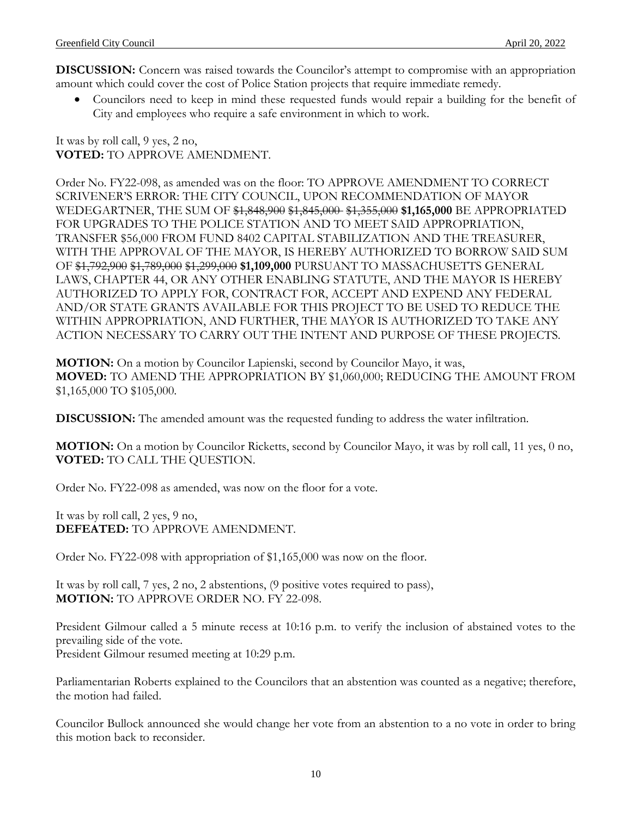**DISCUSSION:** Concern was raised towards the Councilor's attempt to compromise with an appropriation amount which could cover the cost of Police Station projects that require immediate remedy.

 Councilors need to keep in mind these requested funds would repair a building for the benefit of City and employees who require a safe environment in which to work.

It was by roll call, 9 yes, 2 no, **VOTED:** TO APPROVE AMENDMENT.

Order No. FY22-098, as amended was on the floor: TO APPROVE AMENDMENT TO CORRECT SCRIVENER'S ERROR: THE CITY COUNCIL, UPON RECOMMENDATION OF MAYOR WEDEGARTNER, THE SUM OF \$1,848,900 \$1,845,000 \$1,355,000 **\$1,165,000** BE APPROPRIATED FOR UPGRADES TO THE POLICE STATION AND TO MEET SAID APPROPRIATION, TRANSFER \$56,000 FROM FUND 8402 CAPITAL STABILIZATION AND THE TREASURER, WITH THE APPROVAL OF THE MAYOR, IS HEREBY AUTHORIZED TO BORROW SAID SUM OF \$1,792,900 \$1,789,000 \$1,299,000 **\$1,109,000** PURSUANT TO MASSACHUSETTS GENERAL LAWS, CHAPTER 44, OR ANY OTHER ENABLING STATUTE, AND THE MAYOR IS HEREBY AUTHORIZED TO APPLY FOR, CONTRACT FOR, ACCEPT AND EXPEND ANY FEDERAL AND/OR STATE GRANTS AVAILABLE FOR THIS PROJECT TO BE USED TO REDUCE THE WITHIN APPROPRIATION, AND FURTHER, THE MAYOR IS AUTHORIZED TO TAKE ANY ACTION NECESSARY TO CARRY OUT THE INTENT AND PURPOSE OF THESE PROJECTS.

**MOTION:** On a motion by Councilor Lapienski, second by Councilor Mayo, it was, **MOVED:** TO AMEND THE APPROPRIATION BY \$1,060,000; REDUCING THE AMOUNT FROM \$1,165,000 TO \$105,000.

**DISCUSSION:** The amended amount was the requested funding to address the water infiltration.

**MOTION:** On a motion by Councilor Ricketts, second by Councilor Mayo, it was by roll call, 11 yes, 0 no, **VOTED:** TO CALL THE QUESTION.

Order No. FY22-098 as amended, was now on the floor for a vote.

It was by roll call, 2 yes, 9 no, **DEFEATED:** TO APPROVE AMENDMENT.

Order No. FY22-098 with appropriation of \$1,165,000 was now on the floor.

It was by roll call, 7 yes, 2 no, 2 abstentions, (9 positive votes required to pass), **MOTION:** TO APPROVE ORDER NO. FY 22-098.

President Gilmour called a 5 minute recess at 10:16 p.m. to verify the inclusion of abstained votes to the prevailing side of the vote.

President Gilmour resumed meeting at 10:29 p.m.

Parliamentarian Roberts explained to the Councilors that an abstention was counted as a negative; therefore, the motion had failed.

Councilor Bullock announced she would change her vote from an abstention to a no vote in order to bring this motion back to reconsider.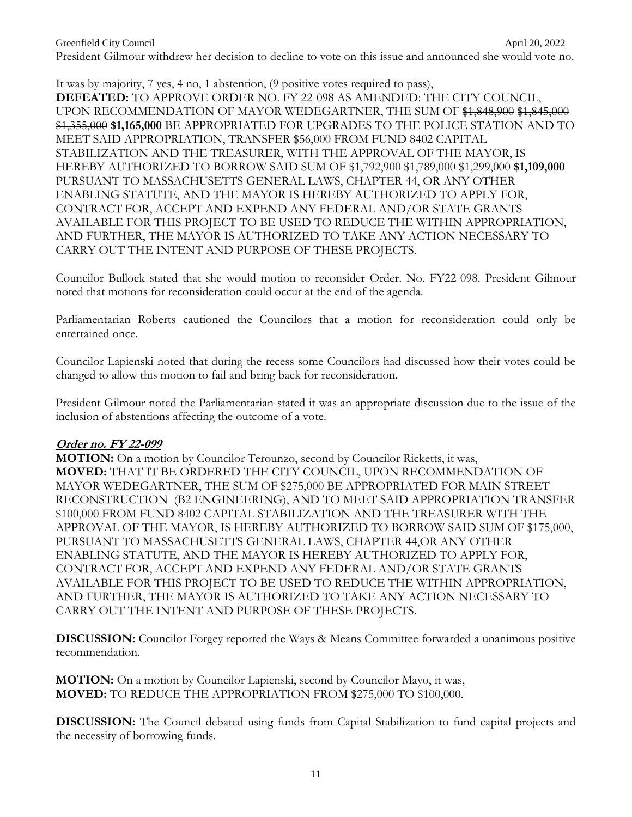President Gilmour withdrew her decision to decline to vote on this issue and announced she would vote no.

It was by majority, 7 yes, 4 no, 1 abstention, (9 positive votes required to pass), **DEFEATED:** TO APPROVE ORDER NO. FY 22-098 AS AMENDED: THE CITY COUNCIL, UPON RECOMMENDATION OF MAYOR WEDEGARTNER, THE SUM OF \$1,848,900 \$1,845,000 \$1,355,000 **\$1,165,000** BE APPROPRIATED FOR UPGRADES TO THE POLICE STATION AND TO MEET SAID APPROPRIATION, TRANSFER \$56,000 FROM FUND 8402 CAPITAL STABILIZATION AND THE TREASURER, WITH THE APPROVAL OF THE MAYOR, IS HEREBY AUTHORIZED TO BORROW SAID SUM OF \$1,792,900 \$1,789,000 \$1,299,000 **\$1,109,000** PURSUANT TO MASSACHUSETTS GENERAL LAWS, CHAPTER 44, OR ANY OTHER ENABLING STATUTE, AND THE MAYOR IS HEREBY AUTHORIZED TO APPLY FOR, CONTRACT FOR, ACCEPT AND EXPEND ANY FEDERAL AND/OR STATE GRANTS AVAILABLE FOR THIS PROJECT TO BE USED TO REDUCE THE WITHIN APPROPRIATION, AND FURTHER, THE MAYOR IS AUTHORIZED TO TAKE ANY ACTION NECESSARY TO CARRY OUT THE INTENT AND PURPOSE OF THESE PROJECTS.

Councilor Bullock stated that she would motion to reconsider Order. No. FY22-098. President Gilmour noted that motions for reconsideration could occur at the end of the agenda.

Parliamentarian Roberts cautioned the Councilors that a motion for reconsideration could only be entertained once.

Councilor Lapienski noted that during the recess some Councilors had discussed how their votes could be changed to allow this motion to fail and bring back for reconsideration.

President Gilmour noted the Parliamentarian stated it was an appropriate discussion due to the issue of the inclusion of abstentions affecting the outcome of a vote.

## **Order no. FY 22-099**

**MOTION:** On a motion by Councilor Terounzo, second by Councilor Ricketts, it was, **MOVED:** THAT IT BE ORDERED THE CITY COUNCIL, UPON RECOMMENDATION OF MAYOR WEDEGARTNER, THE SUM OF \$275,000 BE APPROPRIATED FOR MAIN STREET RECONSTRUCTION (B2 ENGINEERING), AND TO MEET SAID APPROPRIATION TRANSFER \$100,000 FROM FUND 8402 CAPITAL STABILIZATION AND THE TREASURER WITH THE APPROVAL OF THE MAYOR, IS HEREBY AUTHORIZED TO BORROW SAID SUM OF \$175,000, PURSUANT TO MASSACHUSETTS GENERAL LAWS, CHAPTER 44,OR ANY OTHER ENABLING STATUTE, AND THE MAYOR IS HEREBY AUTHORIZED TO APPLY FOR, CONTRACT FOR, ACCEPT AND EXPEND ANY FEDERAL AND/OR STATE GRANTS AVAILABLE FOR THIS PROJECT TO BE USED TO REDUCE THE WITHIN APPROPRIATION, AND FURTHER, THE MAYOR IS AUTHORIZED TO TAKE ANY ACTION NECESSARY TO CARRY OUT THE INTENT AND PURPOSE OF THESE PROJECTS.

**DISCUSSION:** Councilor Forgey reported the Ways & Means Committee forwarded a unanimous positive recommendation.

**MOTION:** On a motion by Councilor Lapienski, second by Councilor Mayo, it was, **MOVED:** TO REDUCE THE APPROPRIATION FROM \$275,000 TO \$100,000.

**DISCUSSION:** The Council debated using funds from Capital Stabilization to fund capital projects and the necessity of borrowing funds.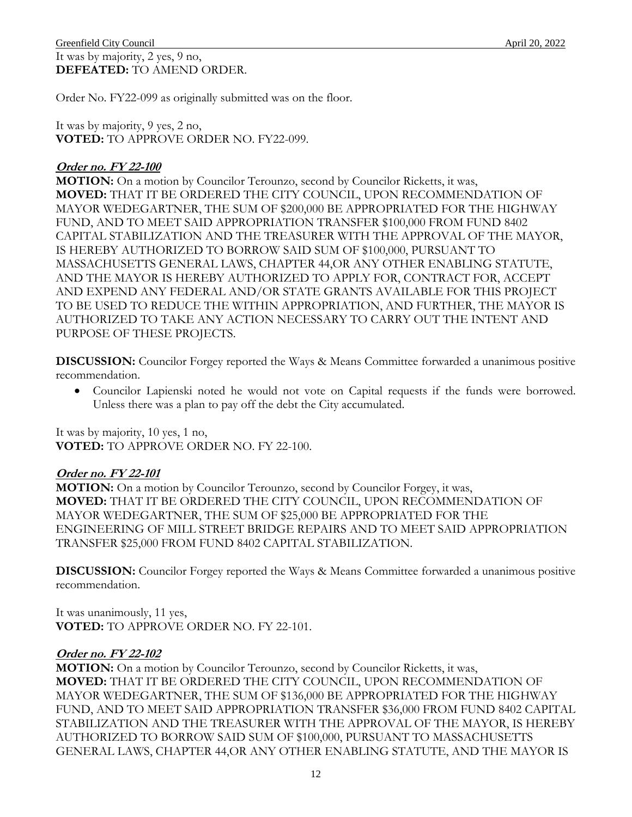#### Greenfield City Council **April 20, 2022** It was by majority, 2 yes, 9 no, **DEFEATED:** TO AMEND ORDER.

Order No. FY22-099 as originally submitted was on the floor.

It was by majority, 9 yes, 2 no, **VOTED:** TO APPROVE ORDER NO. FY22-099.

# **Order no. FY 22-100**

**MOTION:** On a motion by Councilor Terounzo, second by Councilor Ricketts, it was, **MOVED:** THAT IT BE ORDERED THE CITY COUNCIL, UPON RECOMMENDATION OF MAYOR WEDEGARTNER, THE SUM OF \$200,000 BE APPROPRIATED FOR THE HIGHWAY FUND, AND TO MEET SAID APPROPRIATION TRANSFER \$100,000 FROM FUND 8402 CAPITAL STABILIZATION AND THE TREASURER WITH THE APPROVAL OF THE MAYOR, IS HEREBY AUTHORIZED TO BORROW SAID SUM OF \$100,000, PURSUANT TO MASSACHUSETTS GENERAL LAWS, CHAPTER 44,OR ANY OTHER ENABLING STATUTE, AND THE MAYOR IS HEREBY AUTHORIZED TO APPLY FOR, CONTRACT FOR, ACCEPT AND EXPEND ANY FEDERAL AND/OR STATE GRANTS AVAILABLE FOR THIS PROJECT TO BE USED TO REDUCE THE WITHIN APPROPRIATION, AND FURTHER, THE MAYOR IS AUTHORIZED TO TAKE ANY ACTION NECESSARY TO CARRY OUT THE INTENT AND PURPOSE OF THESE PROJECTS.

**DISCUSSION:** Councilor Forgey reported the Ways & Means Committee forwarded a unanimous positive recommendation.

 Councilor Lapienski noted he would not vote on Capital requests if the funds were borrowed. Unless there was a plan to pay off the debt the City accumulated.

It was by majority, 10 yes, 1 no, **VOTED:** TO APPROVE ORDER NO. FY 22-100.

# **Order no. FY 22-101**

**MOTION:** On a motion by Councilor Terounzo, second by Councilor Forgey, it was, **MOVED:** THAT IT BE ORDERED THE CITY COUNCIL, UPON RECOMMENDATION OF MAYOR WEDEGARTNER, THE SUM OF \$25,000 BE APPROPRIATED FOR THE ENGINEERING OF MILL STREET BRIDGE REPAIRS AND TO MEET SAID APPROPRIATION TRANSFER \$25,000 FROM FUND 8402 CAPITAL STABILIZATION.

**DISCUSSION:** Councilor Forgey reported the Ways & Means Committee forwarded a unanimous positive recommendation.

It was unanimously, 11 yes, **VOTED:** TO APPROVE ORDER NO. FY 22-101.

# **Order no. FY 22-102**

**MOTION:** On a motion by Councilor Terounzo, second by Councilor Ricketts, it was, **MOVED:** THAT IT BE ORDERED THE CITY COUNCIL, UPON RECOMMENDATION OF MAYOR WEDEGARTNER, THE SUM OF \$136,000 BE APPROPRIATED FOR THE HIGHWAY FUND, AND TO MEET SAID APPROPRIATION TRANSFER \$36,000 FROM FUND 8402 CAPITAL STABILIZATION AND THE TREASURER WITH THE APPROVAL OF THE MAYOR, IS HEREBY AUTHORIZED TO BORROW SAID SUM OF \$100,000, PURSUANT TO MASSACHUSETTS GENERAL LAWS, CHAPTER 44,OR ANY OTHER ENABLING STATUTE, AND THE MAYOR IS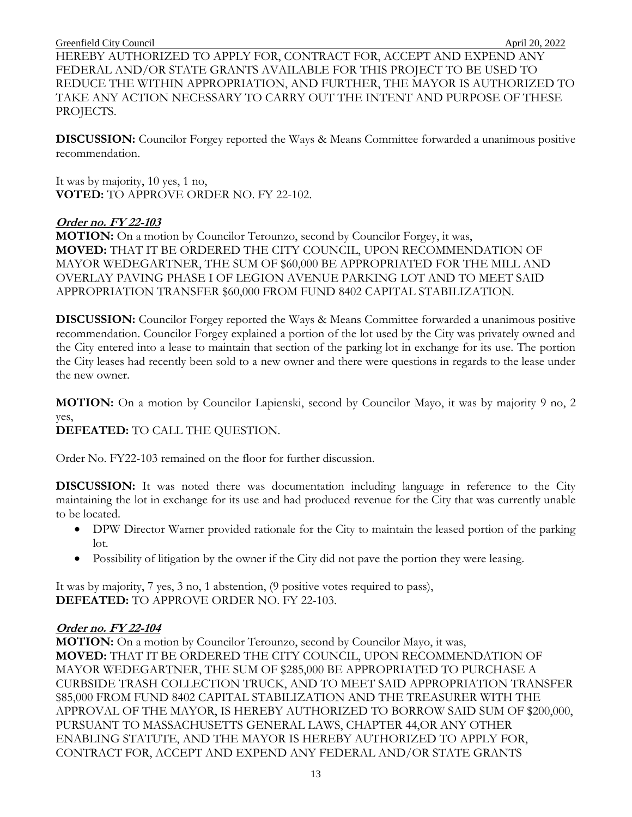HEREBY AUTHORIZED TO APPLY FOR, CONTRACT FOR, ACCEPT AND EXPEND ANY FEDERAL AND/OR STATE GRANTS AVAILABLE FOR THIS PROJECT TO BE USED TO REDUCE THE WITHIN APPROPRIATION, AND FURTHER, THE MAYOR IS AUTHORIZED TO TAKE ANY ACTION NECESSARY TO CARRY OUT THE INTENT AND PURPOSE OF THESE PROJECTS.

**DISCUSSION:** Councilor Forgey reported the Ways & Means Committee forwarded a unanimous positive recommendation.

It was by majority, 10 yes, 1 no, **VOTED:** TO APPROVE ORDER NO. FY 22-102.

## **Order no. FY 22-103**

**MOTION:** On a motion by Councilor Terounzo, second by Councilor Forgey, it was, **MOVED:** THAT IT BE ORDERED THE CITY COUNCIL, UPON RECOMMENDATION OF MAYOR WEDEGARTNER, THE SUM OF \$60,000 BE APPROPRIATED FOR THE MILL AND OVERLAY PAVING PHASE I OF LEGION AVENUE PARKING LOT AND TO MEET SAID APPROPRIATION TRANSFER \$60,000 FROM FUND 8402 CAPITAL STABILIZATION.

**DISCUSSION:** Councilor Forgey reported the Ways & Means Committee forwarded a unanimous positive recommendation. Councilor Forgey explained a portion of the lot used by the City was privately owned and the City entered into a lease to maintain that section of the parking lot in exchange for its use. The portion the City leases had recently been sold to a new owner and there were questions in regards to the lease under the new owner.

**MOTION:** On a motion by Councilor Lapienski, second by Councilor Mayo, it was by majority 9 no, 2 yes,

## **DEFEATED:** TO CALL THE QUESTION.

Order No. FY22-103 remained on the floor for further discussion.

**DISCUSSION:** It was noted there was documentation including language in reference to the City maintaining the lot in exchange for its use and had produced revenue for the City that was currently unable to be located.

- DPW Director Warner provided rationale for the City to maintain the leased portion of the parking lot.
- Possibility of litigation by the owner if the City did not pave the portion they were leasing.

It was by majority, 7 yes, 3 no, 1 abstention, (9 positive votes required to pass), **DEFEATED:** TO APPROVE ORDER NO. FY 22-103.

## **Order no. FY 22-104**

**MOTION:** On a motion by Councilor Terounzo, second by Councilor Mayo, it was, **MOVED:** THAT IT BE ORDERED THE CITY COUNCIL, UPON RECOMMENDATION OF MAYOR WEDEGARTNER, THE SUM OF \$285,000 BE APPROPRIATED TO PURCHASE A CURBSIDE TRASH COLLECTION TRUCK, AND TO MEET SAID APPROPRIATION TRANSFER \$85,000 FROM FUND 8402 CAPITAL STABILIZATION AND THE TREASURER WITH THE APPROVAL OF THE MAYOR, IS HEREBY AUTHORIZED TO BORROW SAID SUM OF \$200,000, PURSUANT TO MASSACHUSETTS GENERAL LAWS, CHAPTER 44,OR ANY OTHER ENABLING STATUTE, AND THE MAYOR IS HEREBY AUTHORIZED TO APPLY FOR, CONTRACT FOR, ACCEPT AND EXPEND ANY FEDERAL AND/OR STATE GRANTS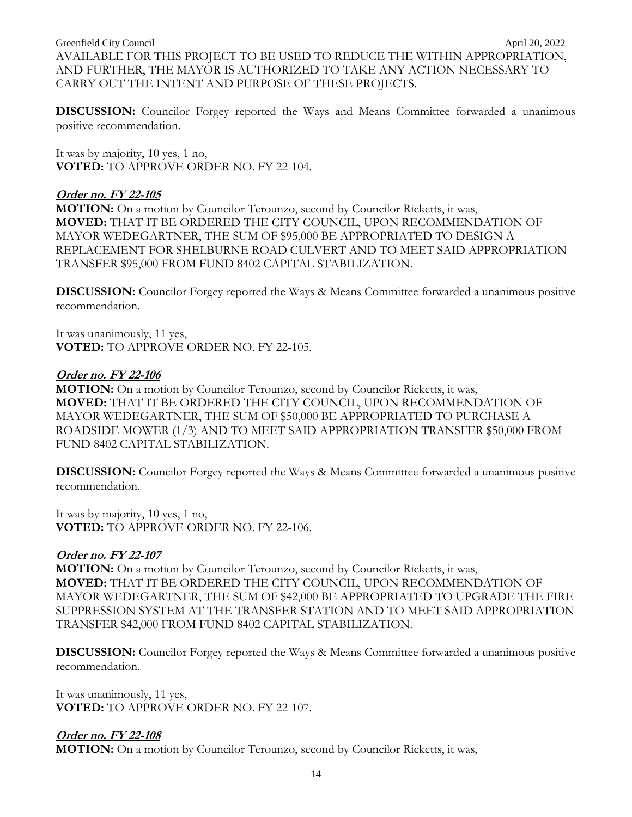AVAILABLE FOR THIS PROJECT TO BE USED TO REDUCE THE WITHIN APPROPRIATION, AND FURTHER, THE MAYOR IS AUTHORIZED TO TAKE ANY ACTION NECESSARY TO CARRY OUT THE INTENT AND PURPOSE OF THESE PROJECTS.

**DISCUSSION:** Councilor Forgey reported the Ways and Means Committee forwarded a unanimous positive recommendation.

It was by majority, 10 yes, 1 no, **VOTED:** TO APPROVE ORDER NO. FY 22-104.

#### **Order no. FY 22-105**

**MOTION:** On a motion by Councilor Terounzo, second by Councilor Ricketts, it was, **MOVED:** THAT IT BE ORDERED THE CITY COUNCIL, UPON RECOMMENDATION OF MAYOR WEDEGARTNER, THE SUM OF \$95,000 BE APPROPRIATED TO DESIGN A REPLACEMENT FOR SHELBURNE ROAD CULVERT AND TO MEET SAID APPROPRIATION TRANSFER \$95,000 FROM FUND 8402 CAPITAL STABILIZATION.

**DISCUSSION:** Councilor Forgey reported the Ways & Means Committee forwarded a unanimous positive recommendation.

It was unanimously, 11 yes, **VOTED:** TO APPROVE ORDER NO. FY 22-105.

#### **Order no. FY 22-106**

**MOTION:** On a motion by Councilor Terounzo, second by Councilor Ricketts, it was, **MOVED:** THAT IT BE ORDERED THE CITY COUNCIL, UPON RECOMMENDATION OF MAYOR WEDEGARTNER, THE SUM OF \$50,000 BE APPROPRIATED TO PURCHASE A ROADSIDE MOWER (1/3) AND TO MEET SAID APPROPRIATION TRANSFER \$50,000 FROM FUND 8402 CAPITAL STABILIZATION.

**DISCUSSION:** Councilor Forgey reported the Ways & Means Committee forwarded a unanimous positive recommendation.

It was by majority, 10 yes, 1 no, **VOTED:** TO APPROVE ORDER NO. FY 22-106.

## **Order no. FY 22-107**

**MOTION:** On a motion by Councilor Terounzo, second by Councilor Ricketts, it was, **MOVED:** THAT IT BE ORDERED THE CITY COUNCIL, UPON RECOMMENDATION OF MAYOR WEDEGARTNER, THE SUM OF \$42,000 BE APPROPRIATED TO UPGRADE THE FIRE SUPPRESSION SYSTEM AT THE TRANSFER STATION AND TO MEET SAID APPROPRIATION TRANSFER \$42,000 FROM FUND 8402 CAPITAL STABILIZATION.

**DISCUSSION:** Councilor Forgey reported the Ways & Means Committee forwarded a unanimous positive recommendation.

It was unanimously, 11 yes, **VOTED:** TO APPROVE ORDER NO. FY 22-107.

## **Order no. FY 22-108**

**MOTION:** On a motion by Councilor Terounzo, second by Councilor Ricketts, it was,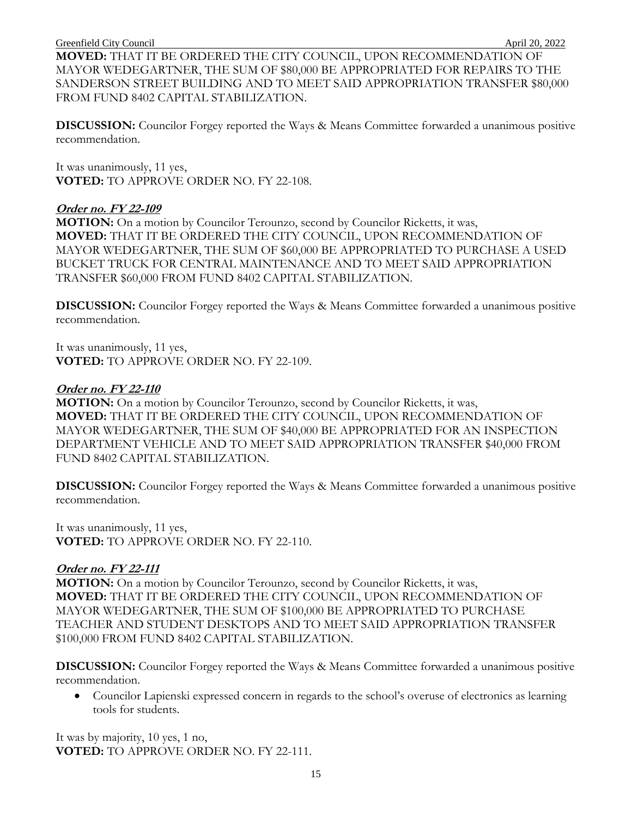**MOVED:** THAT IT BE ORDERED THE CITY COUNCIL, UPON RECOMMENDATION OF MAYOR WEDEGARTNER, THE SUM OF \$80,000 BE APPROPRIATED FOR REPAIRS TO THE SANDERSON STREET BUILDING AND TO MEET SAID APPROPRIATION TRANSFER \$80,000 FROM FUND 8402 CAPITAL STABILIZATION.

**DISCUSSION:** Councilor Forgey reported the Ways & Means Committee forwarded a unanimous positive recommendation.

It was unanimously, 11 yes, **VOTED:** TO APPROVE ORDER NO. FY 22-108.

#### **Order no. FY 22-109**

**MOTION:** On a motion by Councilor Terounzo, second by Councilor Ricketts, it was, **MOVED:** THAT IT BE ORDERED THE CITY COUNCIL, UPON RECOMMENDATION OF MAYOR WEDEGARTNER, THE SUM OF \$60,000 BE APPROPRIATED TO PURCHASE A USED BUCKET TRUCK FOR CENTRAL MAINTENANCE AND TO MEET SAID APPROPRIATION TRANSFER \$60,000 FROM FUND 8402 CAPITAL STABILIZATION.

**DISCUSSION:** Councilor Forgey reported the Ways & Means Committee forwarded a unanimous positive recommendation.

It was unanimously, 11 yes, **VOTED:** TO APPROVE ORDER NO. FY 22-109.

#### **Order no. FY 22-110**

**MOTION:** On a motion by Councilor Terounzo, second by Councilor Ricketts, it was, **MOVED:** THAT IT BE ORDERED THE CITY COUNCIL, UPON RECOMMENDATION OF MAYOR WEDEGARTNER, THE SUM OF \$40,000 BE APPROPRIATED FOR AN INSPECTION DEPARTMENT VEHICLE AND TO MEET SAID APPROPRIATION TRANSFER \$40,000 FROM FUND 8402 CAPITAL STABILIZATION.

**DISCUSSION:** Councilor Forgey reported the Ways & Means Committee forwarded a unanimous positive recommendation.

It was unanimously, 11 yes, **VOTED:** TO APPROVE ORDER NO. FY 22-110.

## **Order no. FY 22-111**

**MOTION:** On a motion by Councilor Terounzo, second by Councilor Ricketts, it was, **MOVED:** THAT IT BE ORDERED THE CITY COUNCIL, UPON RECOMMENDATION OF MAYOR WEDEGARTNER, THE SUM OF \$100,000 BE APPROPRIATED TO PURCHASE TEACHER AND STUDENT DESKTOPS AND TO MEET SAID APPROPRIATION TRANSFER \$100,000 FROM FUND 8402 CAPITAL STABILIZATION.

**DISCUSSION:** Councilor Forgey reported the Ways & Means Committee forwarded a unanimous positive recommendation.

 Councilor Lapienski expressed concern in regards to the school's overuse of electronics as learning tools for students.

It was by majority, 10 yes, 1 no, **VOTED:** TO APPROVE ORDER NO. FY 22-111.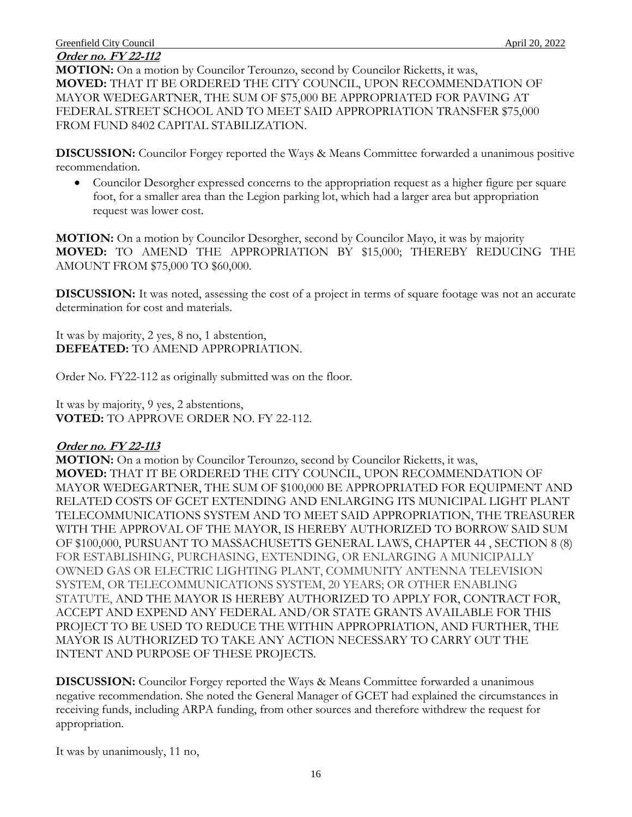# **Order no. FY 22-112**

**MOTION:** On a motion by Councilor Terounzo, second by Councilor Ricketts, it was, **MOVED:** THAT IT BE ORDERED THE CITY COUNCIL, UPON RECOMMENDATION OF MAYOR WEDEGARTNER, THE SUM OF \$75,000 BE APPROPRIATED FOR PAVING AT FEDERAL STREET SCHOOL AND TO MEET SAID APPROPRIATION TRANSFER \$75,000 FROM FUND 8402 CAPITAL STABILIZATION.

**DISCUSSION:** Councilor Forgey reported the Ways & Means Committee forwarded a unanimous positive recommendation.

 Councilor Desorgher expressed concerns to the appropriation request as a higher figure per square foot, for a smaller area than the Legion parking lot, which had a larger area but appropriation request was lower cost.

**MOTION:** On a motion by Councilor Desorgher, second by Councilor Mayo, it was by majority **MOVED:** TO AMEND THE APPROPRIATION BY \$15,000; THEREBY REDUCING THE AMOUNT FROM \$75,000 TO \$60,000.

**DISCUSSION:** It was noted, assessing the cost of a project in terms of square footage was not an accurate determination for cost and materials.

It was by majority, 2 yes, 8 no, 1 abstention, **DEFEATED:** TO AMEND APPROPRIATION.

Order No. FY22-112 as originally submitted was on the floor.

It was by majority, 9 yes, 2 abstentions, **VOTED:** TO APPROVE ORDER NO. FY 22-112.

#### **Order no. FY 22-113**

**MOTION:** On a motion by Councilor Terounzo, second by Councilor Ricketts, it was, **MOVED:** THAT IT BE ORDERED THE CITY COUNCIL, UPON RECOMMENDATION OF MAYOR WEDEGARTNER, THE SUM OF \$100,000 BE APPROPRIATED FOR EQUIPMENT AND RELATED COSTS OF GCET EXTENDING AND ENLARGING ITS MUNICIPAL LIGHT PLANT TELECOMMUNICATIONS SYSTEM AND TO MEET SAID APPROPRIATION, THE TREASURER WITH THE APPROVAL OF THE MAYOR, IS HEREBY AUTHORIZED TO BORROW SAID SUM OF \$100,000, PURSUANT TO MASSACHUSETTS GENERAL LAWS, CHAPTER 44 , SECTION 8 (8) FOR ESTABLISHING, PURCHASING, EXTENDING, OR ENLARGING A MUNICIPALLY OWNED GAS OR ELECTRIC LIGHTING PLANT, COMMUNITY ANTENNA TELEVISION SYSTEM, OR TELECOMMUNICATIONS SYSTEM, 20 YEARS; OR OTHER ENABLING STATUTE, AND THE MAYOR IS HEREBY AUTHORIZED TO APPLY FOR, CONTRACT FOR, ACCEPT AND EXPEND ANY FEDERAL AND/OR STATE GRANTS AVAILABLE FOR THIS PROJECT TO BE USED TO REDUCE THE WITHIN APPROPRIATION, AND FURTHER, THE MAYOR IS AUTHORIZED TO TAKE ANY ACTION NECESSARY TO CARRY OUT THE INTENT AND PURPOSE OF THESE PROJECTS.

**DISCUSSION:** Councilor Forgey reported the Ways & Means Committee forwarded a unanimous negative recommendation. She noted the General Manager of GCET had explained the circumstances in receiving funds, including ARPA funding, from other sources and therefore withdrew the request for appropriation.

It was by unanimously, 11 no,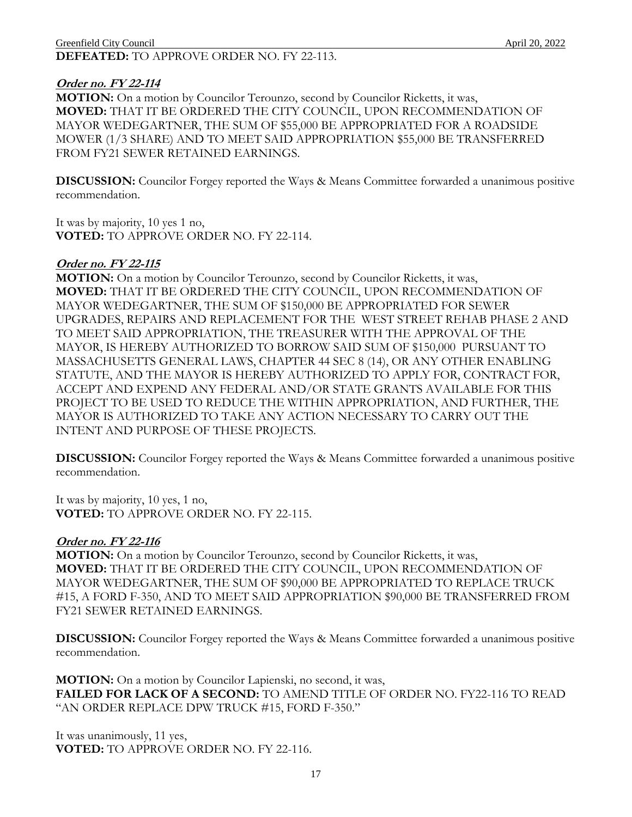#### Greenfield City Council **April 20, 2022 DEFEATED:** TO APPROVE ORDER NO. FY 22-113.

### **Order no. FY 22-114**

**MOTION:** On a motion by Councilor Terounzo, second by Councilor Ricketts, it was, **MOVED:** THAT IT BE ORDERED THE CITY COUNCIL, UPON RECOMMENDATION OF MAYOR WEDEGARTNER, THE SUM OF \$55,000 BE APPROPRIATED FOR A ROADSIDE MOWER (1/3 SHARE) AND TO MEET SAID APPROPRIATION \$55,000 BE TRANSFERRED FROM FY21 SEWER RETAINED EARNINGS.

**DISCUSSION:** Councilor Forgey reported the Ways & Means Committee forwarded a unanimous positive recommendation.

It was by majority, 10 yes 1 no, **VOTED:** TO APPROVE ORDER NO. FY 22-114.

#### **Order no. FY 22-115**

**MOTION:** On a motion by Councilor Terounzo, second by Councilor Ricketts, it was, **MOVED:** THAT IT BE ORDERED THE CITY COUNCIL, UPON RECOMMENDATION OF MAYOR WEDEGARTNER, THE SUM OF \$150,000 BE APPROPRIATED FOR SEWER UPGRADES, REPAIRS AND REPLACEMENT FOR THE WEST STREET REHAB PHASE 2 AND TO MEET SAID APPROPRIATION, THE TREASURER WITH THE APPROVAL OF THE MAYOR, IS HEREBY AUTHORIZED TO BORROW SAID SUM OF \$150,000 PURSUANT TO MASSACHUSETTS GENERAL LAWS, CHAPTER 44 SEC 8 (14), OR ANY OTHER ENABLING STATUTE, AND THE MAYOR IS HEREBY AUTHORIZED TO APPLY FOR, CONTRACT FOR, ACCEPT AND EXPEND ANY FEDERAL AND/OR STATE GRANTS AVAILABLE FOR THIS PROJECT TO BE USED TO REDUCE THE WITHIN APPROPRIATION, AND FURTHER, THE MAYOR IS AUTHORIZED TO TAKE ANY ACTION NECESSARY TO CARRY OUT THE INTENT AND PURPOSE OF THESE PROJECTS.

**DISCUSSION:** Councilor Forgey reported the Ways & Means Committee forwarded a unanimous positive recommendation.

It was by majority, 10 yes, 1 no, **VOTED:** TO APPROVE ORDER NO. FY 22-115.

#### **Order no. FY 22-116**

**MOTION:** On a motion by Councilor Terounzo, second by Councilor Ricketts, it was, **MOVED:** THAT IT BE ORDERED THE CITY COUNCIL, UPON RECOMMENDATION OF MAYOR WEDEGARTNER, THE SUM OF \$90,000 BE APPROPRIATED TO REPLACE TRUCK #15, A FORD F-350, AND TO MEET SAID APPROPRIATION \$90,000 BE TRANSFERRED FROM FY21 SEWER RETAINED EARNINGS.

**DISCUSSION:** Councilor Forgey reported the Ways & Means Committee forwarded a unanimous positive recommendation.

**MOTION:** On a motion by Councilor Lapienski, no second, it was, **FAILED FOR LACK OF A SECOND:** TO AMEND TITLE OF ORDER NO. FY22-116 TO READ "AN ORDER REPLACE DPW TRUCK #15, FORD F-350."

It was unanimously, 11 yes, **VOTED:** TO APPROVE ORDER NO. FY 22-116.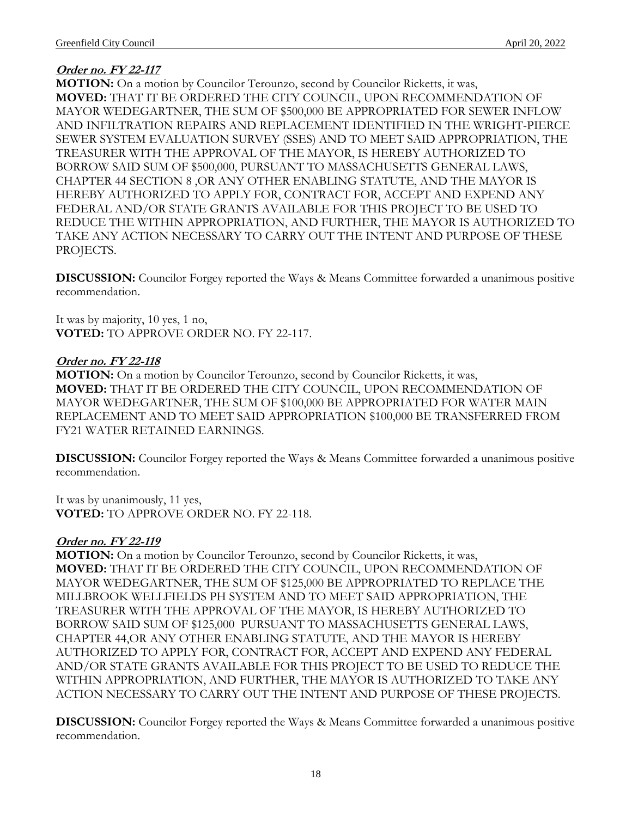# **Order no. FY 22-117**

**MOTION:** On a motion by Councilor Terounzo, second by Councilor Ricketts, it was, **MOVED:** THAT IT BE ORDERED THE CITY COUNCIL, UPON RECOMMENDATION OF MAYOR WEDEGARTNER, THE SUM OF \$500,000 BE APPROPRIATED FOR SEWER INFLOW AND INFILTRATION REPAIRS AND REPLACEMENT IDENTIFIED IN THE WRIGHT-PIERCE SEWER SYSTEM EVALUATION SURVEY (SSES) AND TO MEET SAID APPROPRIATION, THE TREASURER WITH THE APPROVAL OF THE MAYOR, IS HEREBY AUTHORIZED TO BORROW SAID SUM OF \$500,000, PURSUANT TO MASSACHUSETTS GENERAL LAWS, CHAPTER 44 SECTION 8 ,OR ANY OTHER ENABLING STATUTE, AND THE MAYOR IS HEREBY AUTHORIZED TO APPLY FOR, CONTRACT FOR, ACCEPT AND EXPEND ANY FEDERAL AND/OR STATE GRANTS AVAILABLE FOR THIS PROJECT TO BE USED TO REDUCE THE WITHIN APPROPRIATION, AND FURTHER, THE MAYOR IS AUTHORIZED TO TAKE ANY ACTION NECESSARY TO CARRY OUT THE INTENT AND PURPOSE OF THESE PROJECTS.

**DISCUSSION:** Councilor Forgey reported the Ways & Means Committee forwarded a unanimous positive recommendation.

It was by majority, 10 yes, 1 no, **VOTED:** TO APPROVE ORDER NO. FY 22-117.

## **Order no. FY 22-118**

**MOTION:** On a motion by Councilor Terounzo, second by Councilor Ricketts, it was, **MOVED:** THAT IT BE ORDERED THE CITY COUNCIL, UPON RECOMMENDATION OF MAYOR WEDEGARTNER, THE SUM OF \$100,000 BE APPROPRIATED FOR WATER MAIN REPLACEMENT AND TO MEET SAID APPROPRIATION \$100,000 BE TRANSFERRED FROM FY21 WATER RETAINED EARNINGS.

**DISCUSSION:** Councilor Forgey reported the Ways & Means Committee forwarded a unanimous positive recommendation.

It was by unanimously, 11 yes, **VOTED:** TO APPROVE ORDER NO. FY 22-118.

## **Order no. FY 22-119**

**MOTION:** On a motion by Councilor Terounzo, second by Councilor Ricketts, it was, **MOVED:** THAT IT BE ORDERED THE CITY COUNCIL, UPON RECOMMENDATION OF MAYOR WEDEGARTNER, THE SUM OF \$125,000 BE APPROPRIATED TO REPLACE THE MILLBROOK WELLFIELDS PH SYSTEM AND TO MEET SAID APPROPRIATION, THE TREASURER WITH THE APPROVAL OF THE MAYOR, IS HEREBY AUTHORIZED TO BORROW SAID SUM OF \$125,000 PURSUANT TO MASSACHUSETTS GENERAL LAWS, CHAPTER 44,OR ANY OTHER ENABLING STATUTE, AND THE MAYOR IS HEREBY AUTHORIZED TO APPLY FOR, CONTRACT FOR, ACCEPT AND EXPEND ANY FEDERAL AND/OR STATE GRANTS AVAILABLE FOR THIS PROJECT TO BE USED TO REDUCE THE WITHIN APPROPRIATION, AND FURTHER, THE MAYOR IS AUTHORIZED TO TAKE ANY ACTION NECESSARY TO CARRY OUT THE INTENT AND PURPOSE OF THESE PROJECTS.

**DISCUSSION:** Councilor Forgey reported the Ways & Means Committee forwarded a unanimous positive recommendation.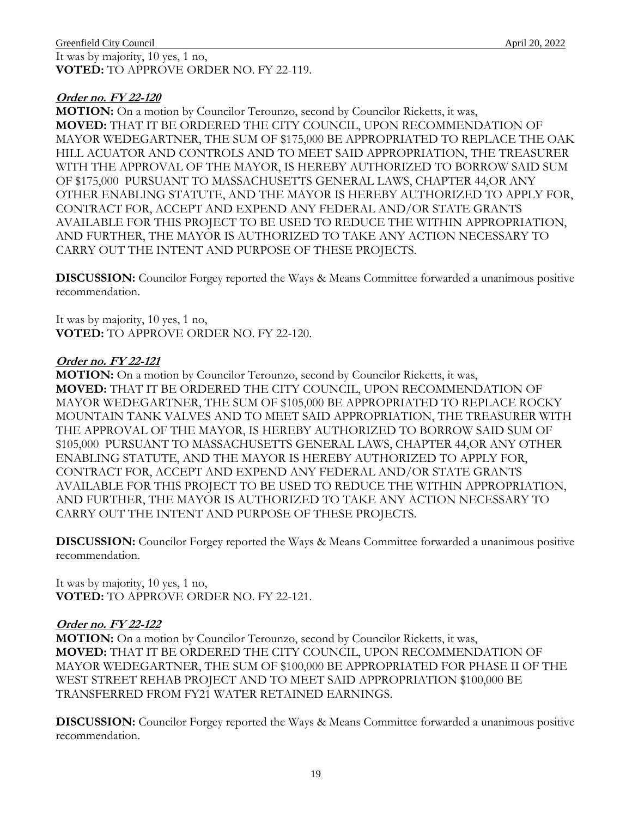It was by majority, 10 yes, 1 no, **VOTED:** TO APPROVE ORDER NO. FY 22-119.

## **Order no. FY 22-120**

**MOTION:** On a motion by Councilor Terounzo, second by Councilor Ricketts, it was, **MOVED:** THAT IT BE ORDERED THE CITY COUNCIL, UPON RECOMMENDATION OF MAYOR WEDEGARTNER, THE SUM OF \$175,000 BE APPROPRIATED TO REPLACE THE OAK HILL ACUATOR AND CONTROLS AND TO MEET SAID APPROPRIATION, THE TREASURER WITH THE APPROVAL OF THE MAYOR, IS HEREBY AUTHORIZED TO BORROW SAID SUM OF \$175,000 PURSUANT TO MASSACHUSETTS GENERAL LAWS, CHAPTER 44,OR ANY OTHER ENABLING STATUTE, AND THE MAYOR IS HEREBY AUTHORIZED TO APPLY FOR, CONTRACT FOR, ACCEPT AND EXPEND ANY FEDERAL AND/OR STATE GRANTS AVAILABLE FOR THIS PROJECT TO BE USED TO REDUCE THE WITHIN APPROPRIATION, AND FURTHER, THE MAYOR IS AUTHORIZED TO TAKE ANY ACTION NECESSARY TO CARRY OUT THE INTENT AND PURPOSE OF THESE PROJECTS.

**DISCUSSION:** Councilor Forgey reported the Ways & Means Committee forwarded a unanimous positive recommendation.

It was by majority, 10 yes, 1 no, **VOTED:** TO APPROVE ORDER NO. FY 22-120.

## **Order no. FY 22-121**

**MOTION:** On a motion by Councilor Terounzo, second by Councilor Ricketts, it was, **MOVED:** THAT IT BE ORDERED THE CITY COUNCIL, UPON RECOMMENDATION OF MAYOR WEDEGARTNER, THE SUM OF \$105,000 BE APPROPRIATED TO REPLACE ROCKY MOUNTAIN TANK VALVES AND TO MEET SAID APPROPRIATION, THE TREASURER WITH THE APPROVAL OF THE MAYOR, IS HEREBY AUTHORIZED TO BORROW SAID SUM OF \$105,000 PURSUANT TO MASSACHUSETTS GENERAL LAWS, CHAPTER 44,OR ANY OTHER ENABLING STATUTE, AND THE MAYOR IS HEREBY AUTHORIZED TO APPLY FOR, CONTRACT FOR, ACCEPT AND EXPEND ANY FEDERAL AND/OR STATE GRANTS AVAILABLE FOR THIS PROJECT TO BE USED TO REDUCE THE WITHIN APPROPRIATION, AND FURTHER, THE MAYOR IS AUTHORIZED TO TAKE ANY ACTION NECESSARY TO CARRY OUT THE INTENT AND PURPOSE OF THESE PROJECTS.

**DISCUSSION:** Councilor Forgey reported the Ways & Means Committee forwarded a unanimous positive recommendation.

It was by majority, 10 yes, 1 no, **VOTED:** TO APPROVE ORDER NO. FY 22-121.

## **Order no. FY 22-122**

**MOTION:** On a motion by Councilor Terounzo, second by Councilor Ricketts, it was, **MOVED:** THAT IT BE ORDERED THE CITY COUNCIL, UPON RECOMMENDATION OF MAYOR WEDEGARTNER, THE SUM OF \$100,000 BE APPROPRIATED FOR PHASE II OF THE WEST STREET REHAB PROJECT AND TO MEET SAID APPROPRIATION \$100,000 BE TRANSFERRED FROM FY21 WATER RETAINED EARNINGS.

**DISCUSSION:** Councilor Forgey reported the Ways & Means Committee forwarded a unanimous positive recommendation.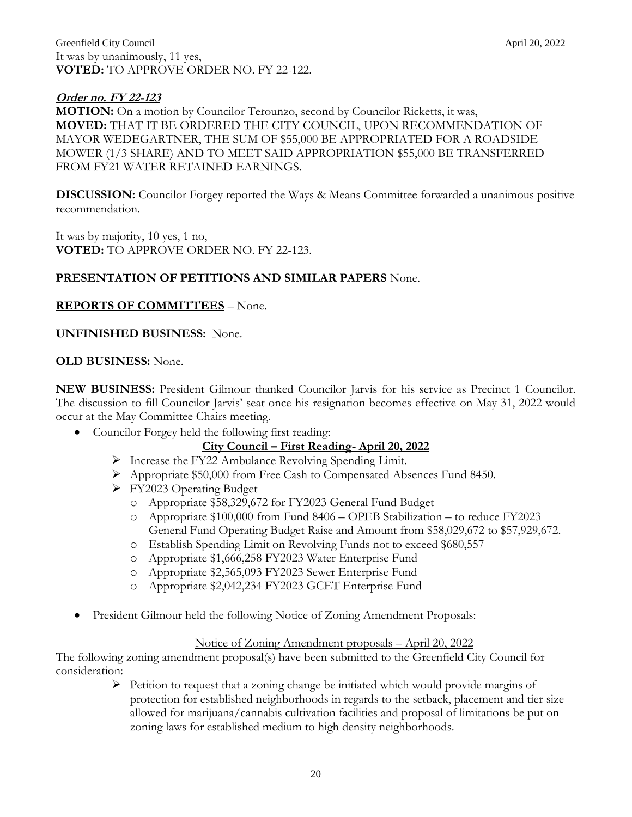It was by unanimously, 11 yes, **VOTED:** TO APPROVE ORDER NO. FY 22-122.

## **Order no. FY 22-123**

**MOTION:** On a motion by Councilor Terounzo, second by Councilor Ricketts, it was, **MOVED:** THAT IT BE ORDERED THE CITY COUNCIL, UPON RECOMMENDATION OF MAYOR WEDEGARTNER, THE SUM OF \$55,000 BE APPROPRIATED FOR A ROADSIDE MOWER (1/3 SHARE) AND TO MEET SAID APPROPRIATION \$55,000 BE TRANSFERRED FROM FY21 WATER RETAINED EARNINGS.

**DISCUSSION:** Councilor Forgey reported the Ways & Means Committee forwarded a unanimous positive recommendation.

It was by majority, 10 yes, 1 no, **VOTED:** TO APPROVE ORDER NO. FY 22-123.

## **PRESENTATION OF PETITIONS AND SIMILAR PAPERS** None.

#### **REPORTS OF COMMITTEES** – None.

#### **UNFINISHED BUSINESS:** None.

#### **OLD BUSINESS:** None.

**NEW BUSINESS:** President Gilmour thanked Councilor Jarvis for his service as Precinct 1 Councilor. The discussion to fill Councilor Jarvis' seat once his resignation becomes effective on May 31, 2022 would occur at the May Committee Chairs meeting.

• Councilor Forgey held the following first reading:

## **City Council – First Reading- April 20, 2022**

- > Increase the FY22 Ambulance Revolving Spending Limit.
- Appropriate \$50,000 from Free Cash to Compensated Absences Fund 8450.
- FY2023 Operating Budget
	- o Appropriate \$58,329,672 for FY2023 General Fund Budget
	- o Appropriate \$100,000 from Fund 8406 OPEB Stabilization to reduce FY2023 General Fund Operating Budget Raise and Amount from \$58,029,672 to \$57,929,672.
	- o Establish Spending Limit on Revolving Funds not to exceed \$680,557
	- o Appropriate \$1,666,258 FY2023 Water Enterprise Fund
	- o Appropriate \$2,565,093 FY2023 Sewer Enterprise Fund
	- o Appropriate \$2,042,234 FY2023 GCET Enterprise Fund
- President Gilmour held the following Notice of Zoning Amendment Proposals:

#### Notice of Zoning Amendment proposals – April 20, 2022

The following zoning amendment proposal(s) have been submitted to the Greenfield City Council for consideration:

> $\triangleright$  Petition to request that a zoning change be initiated which would provide margins of protection for established neighborhoods in regards to the setback, placement and tier size allowed for marijuana/cannabis cultivation facilities and proposal of limitations be put on zoning laws for established medium to high density neighborhoods.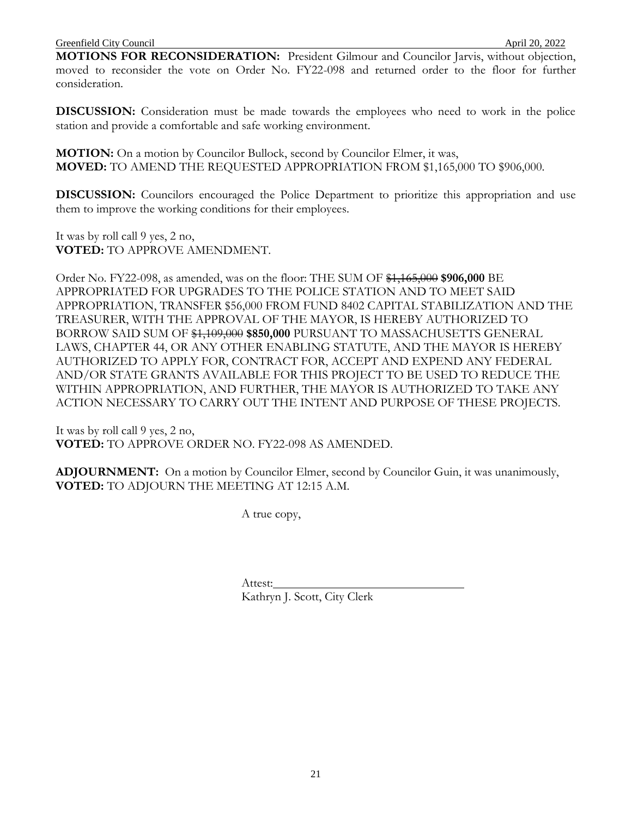**MOTIONS FOR RECONSIDERATION:** President Gilmour and Councilor Jarvis, without objection, moved to reconsider the vote on Order No. FY22-098 and returned order to the floor for further consideration.

**DISCUSSION:** Consideration must be made towards the employees who need to work in the police station and provide a comfortable and safe working environment.

**MOTION:** On a motion by Councilor Bullock, second by Councilor Elmer, it was, **MOVED:** TO AMEND THE REQUESTED APPROPRIATION FROM \$1,165,000 TO \$906,000.

**DISCUSSION:** Councilors encouraged the Police Department to prioritize this appropriation and use them to improve the working conditions for their employees.

It was by roll call 9 yes, 2 no, **VOTED:** TO APPROVE AMENDMENT.

Order No. FY22-098, as amended, was on the floor: THE SUM OF \$1,165,000 **\$906,000** BE APPROPRIATED FOR UPGRADES TO THE POLICE STATION AND TO MEET SAID APPROPRIATION, TRANSFER \$56,000 FROM FUND 8402 CAPITAL STABILIZATION AND THE TREASURER, WITH THE APPROVAL OF THE MAYOR, IS HEREBY AUTHORIZED TO BORROW SAID SUM OF \$1,109,000 **\$850,000** PURSUANT TO MASSACHUSETTS GENERAL LAWS, CHAPTER 44, OR ANY OTHER ENABLING STATUTE, AND THE MAYOR IS HEREBY AUTHORIZED TO APPLY FOR, CONTRACT FOR, ACCEPT AND EXPEND ANY FEDERAL AND/OR STATE GRANTS AVAILABLE FOR THIS PROJECT TO BE USED TO REDUCE THE WITHIN APPROPRIATION, AND FURTHER, THE MAYOR IS AUTHORIZED TO TAKE ANY ACTION NECESSARY TO CARRY OUT THE INTENT AND PURPOSE OF THESE PROJECTS.

It was by roll call 9 yes, 2 no, **VOTED:** TO APPROVE ORDER NO. FY22-098 AS AMENDED.

**ADJOURNMENT:** On a motion by Councilor Elmer, second by Councilor Guin, it was unanimously, **VOTED:** TO ADJOURN THE MEETING AT 12:15 A.M.

A true copy,

Attest: Kathryn J. Scott, City Clerk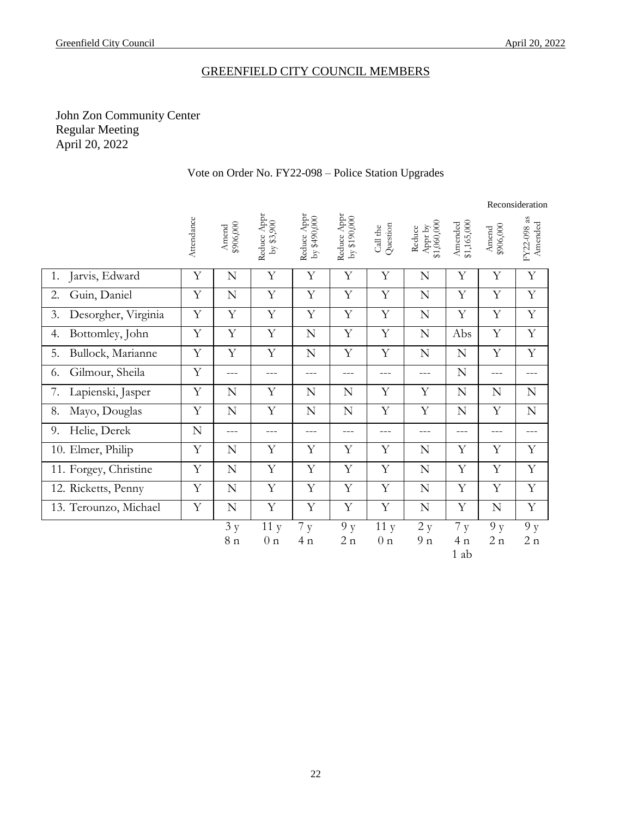# GREENFIELD CITY COUNCIL MEMBERS

# John Zon Community Center Regular Meeting April 20, 2022

| Vote on Order No. FY22-098 – Police Station Upgrades |  |
|------------------------------------------------------|--|
|------------------------------------------------------|--|

|                           |            |                    |                           |                                  |                             |                       |                                   |                              | Reconsideration    |                        |  |  |
|---------------------------|------------|--------------------|---------------------------|----------------------------------|-----------------------------|-----------------------|-----------------------------------|------------------------------|--------------------|------------------------|--|--|
|                           | Attendance | \$906,000<br>Amend | Reduce Appr<br>by \$3,900 | Reduce Appr<br>եր \$490,000<br>Խ | Reduce Appr<br>by \$190,000 | Question<br>Call the  | Appr by<br>$$1,060,000$<br>Reduce | \$1,165,000<br>Amended       | \$906,000<br>Amend | FY22-098 as<br>Amended |  |  |
| Jarvis, Edward<br>1.      | Y          | N                  | Y                         | Y                                | Y                           | Y                     | N                                 | Y                            | Y                  | Y                      |  |  |
| Guin, Daniel<br>2.        | Y          | $\mathbf N$        | Y                         | Y                                | Y                           | Y                     | N                                 | Y                            | Y                  | Y                      |  |  |
| Desorgher, Virginia<br>3. | Y          | Y                  | Y                         | Y                                | Y                           | Y                     | N                                 | Y                            | Y                  | Y                      |  |  |
| Bottomley, John<br>4.     | Y          | Y                  | $\mathbf Y$               | N                                | Y                           | Y                     | ${\bf N}$                         | Abs                          | Y                  | Y                      |  |  |
| Bullock, Marianne<br>5.   | Y          | Y                  | Y                         | ${\bf N}$                        | Y                           | Y                     | ${\bf N}$                         | $\mathbf N$                  | Y                  | Y                      |  |  |
| Gilmour, Sheila<br>6.     | Y          | $---$              | $---$                     | $---$                            | ---                         | ---                   | $---$                             | N                            | $---$              | ---                    |  |  |
| 7.<br>Lapienski, Jasper   | Y          | N                  | Y                         | N                                | N                           | Y                     | Y                                 | N                            | N                  | N                      |  |  |
| Mayo, Douglas<br>8.       | Y          | $\mathbf N$        | Y                         | N                                | N                           | Y                     | Y                                 | N                            | Y                  | N                      |  |  |
| Helie, Derek<br>9.        | N          | $---$              | $---$                     | $---$                            | ---                         | ---                   | ---                               | $---$                        | ---                | ---                    |  |  |
| 10. Elmer, Philip         | Y          | N                  | Y                         | Y                                | Y                           | Y                     | N                                 | Y                            | Y                  | Y                      |  |  |
| 11. Forgey, Christine     | Y          | N                  | Y                         | Y                                | Y                           | Y                     | N                                 | Y                            | Y                  | Y                      |  |  |
| 12. Ricketts, Penny       | Y          | N                  | Y                         | Y                                | Y                           | Y                     | N                                 | Y                            | Y                  | Y                      |  |  |
| 13. Terounzo, Michael     | Y          | $\mathbf N$        | Y                         | Y                                | Y                           | Y                     | N                                 | Y                            | N                  | Y                      |  |  |
|                           |            | 3 y<br>8n          | 11y<br>0 <sub>n</sub>     | 7y<br>4n                         | 9y<br>2n                    | 11y<br>0 <sub>n</sub> | 2 y<br>9n                         | 7y<br>4n<br>$\overline{A}$ 1 | 9y<br>2n           | 9y<br>2n               |  |  |

1 ab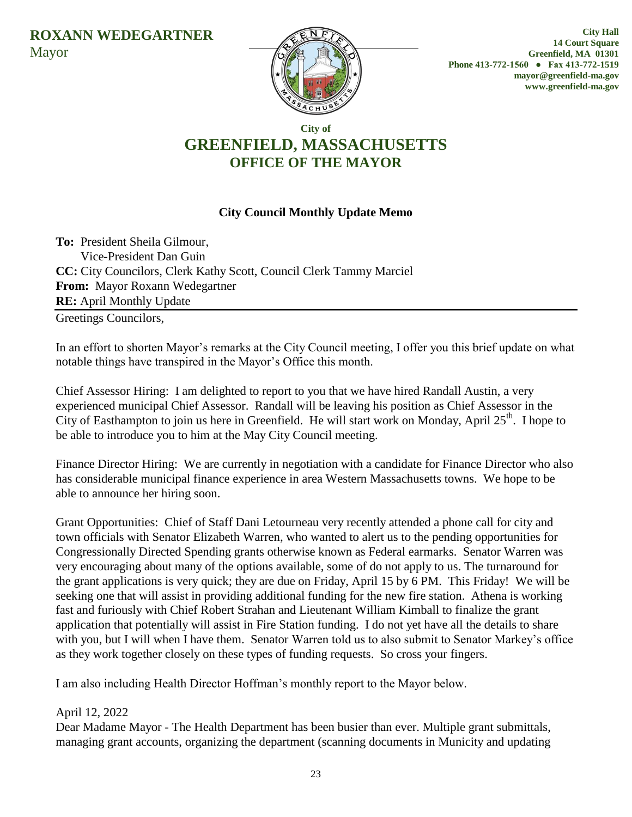

**City Hall 14 Court Square Greenfield, MA 01301 Phone 413-772-1560 ● Fax 413-772-1519 mayor@greenfield-ma.gov www.greenfield-ma.gov**

# **City of GREENFIELD, MASSACHUSETTS OFFICE OF THE MAYOR**

# **City Council Monthly Update Memo**

**To:** President Sheila Gilmour, Vice-President Dan Guin **CC:** City Councilors, Clerk Kathy Scott, Council Clerk Tammy Marciel **From:** Mayor Roxann Wedegartner **RE:** April Monthly Update

Greetings Councilors,

In an effort to shorten Mayor's remarks at the City Council meeting, I offer you this brief update on what notable things have transpired in the Mayor's Office this month.

Chief Assessor Hiring: I am delighted to report to you that we have hired Randall Austin, a very experienced municipal Chief Assessor. Randall will be leaving his position as Chief Assessor in the City of Easthampton to join us here in Greenfield. He will start work on Monday, April 25<sup>th</sup>. I hope to be able to introduce you to him at the May City Council meeting.

Finance Director Hiring: We are currently in negotiation with a candidate for Finance Director who also has considerable municipal finance experience in area Western Massachusetts towns. We hope to be able to announce her hiring soon.

Grant Opportunities: Chief of Staff Dani Letourneau very recently attended a phone call for city and town officials with Senator Elizabeth Warren, who wanted to alert us to the pending opportunities for Congressionally Directed Spending grants otherwise known as Federal earmarks. Senator Warren was very encouraging about many of the options available, some of do not apply to us. The turnaround for the grant applications is very quick; they are due on Friday, April 15 by 6 PM. This Friday! We will be seeking one that will assist in providing additional funding for the new fire station. Athena is working fast and furiously with Chief Robert Strahan and Lieutenant William Kimball to finalize the grant application that potentially will assist in Fire Station funding. I do not yet have all the details to share with you, but I will when I have them. Senator Warren told us to also submit to Senator Markey's office as they work together closely on these types of funding requests. So cross your fingers.

I am also including Health Director Hoffman's monthly report to the Mayor below.

# April 12, 2022

Dear Madame Mayor - The Health Department has been busier than ever. Multiple grant submittals, managing grant accounts, organizing the department (scanning documents in Municity and updating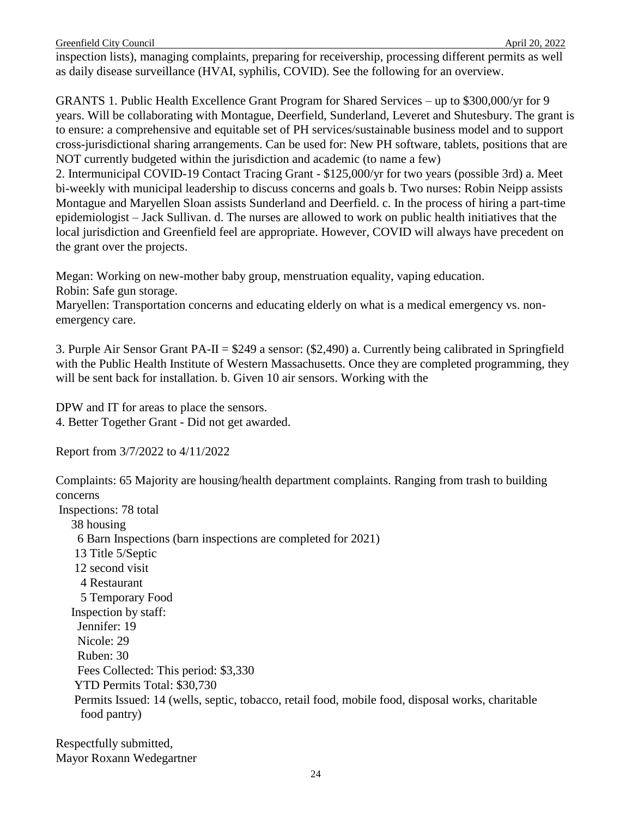inspection lists), managing complaints, preparing for receivership, processing different permits as well as daily disease surveillance (HVAI, syphilis, COVID). See the following for an overview.

GRANTS 1. Public Health Excellence Grant Program for Shared Services – up to \$300,000/yr for 9 years. Will be collaborating with Montague, Deerfield, Sunderland, Leveret and Shutesbury. The grant is to ensure: a comprehensive and equitable set of PH services/sustainable business model and to support cross-jurisdictional sharing arrangements. Can be used for: New PH software, tablets, positions that are NOT currently budgeted within the jurisdiction and academic (to name a few)

2. Intermunicipal COVID-19 Contact Tracing Grant - \$125,000/yr for two years (possible 3rd) a. Meet bi-weekly with municipal leadership to discuss concerns and goals b. Two nurses: Robin Neipp assists Montague and Maryellen Sloan assists Sunderland and Deerfield. c. In the process of hiring a part-time epidemiologist – Jack Sullivan. d. The nurses are allowed to work on public health initiatives that the local jurisdiction and Greenfield feel are appropriate. However, COVID will always have precedent on the grant over the projects.

Megan: Working on new-mother baby group, menstruation equality, vaping education.

Robin: Safe gun storage.

Maryellen: Transportation concerns and educating elderly on what is a medical emergency vs. nonemergency care.

3. Purple Air Sensor Grant PA-II =  $$249$  a sensor: (\$2,490) a. Currently being calibrated in Springfield with the Public Health Institute of Western Massachusetts. Once they are completed programming, they will be sent back for installation. b. Given 10 air sensors. Working with the

DPW and IT for areas to place the sensors. 4. Better Together Grant - Did not get awarded.

Report from 3/7/2022 to 4/11/2022

Complaints: 65 Majority are housing/health department complaints. Ranging from trash to building concerns

Inspections: 78 total 38 housing 6 Barn Inspections (barn inspections are completed for 2021) 13 Title 5/Septic 12 second visit 4 Restaurant 5 Temporary Food Inspection by staff: Jennifer: 19 Nicole: 29 Ruben: 30 Fees Collected: This period: \$3,330 YTD Permits Total: \$30,730 Permits Issued: 14 (wells, septic, tobacco, retail food, mobile food, disposal works, charitable food pantry)

Respectfully submitted, Mayor Roxann Wedegartner